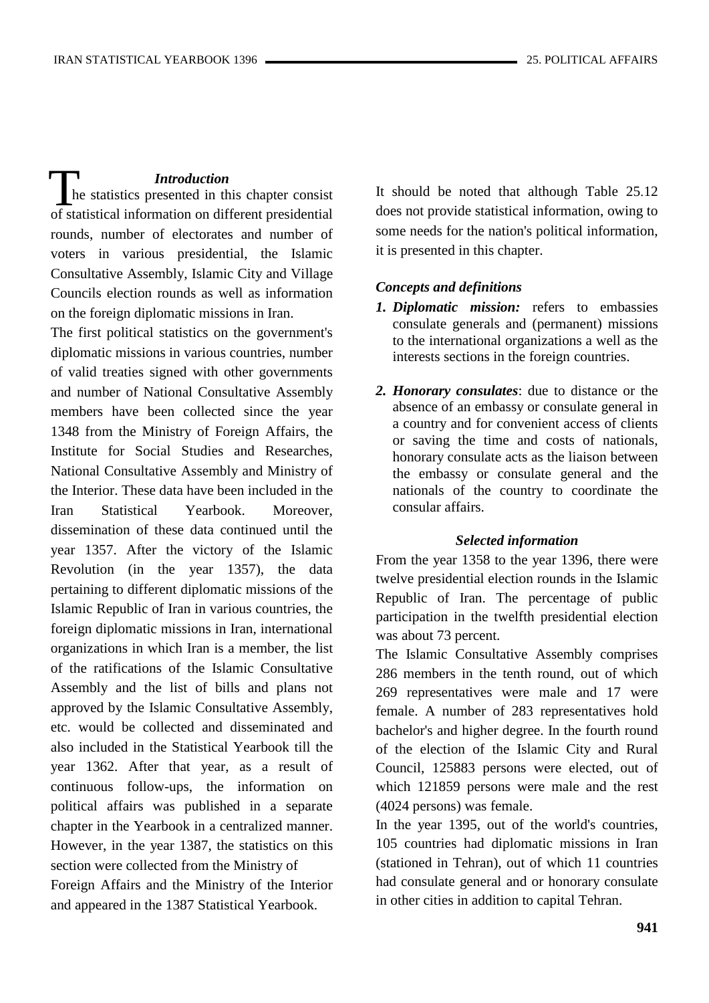## *Introduction*

 he statistics presented in this chapter consist of statistical information on different presidential rounds, number of electorates and number of voters in various presidential, the Islamic Consultative Assembly, Islamic City and Village Councils election rounds as well as information on the foreign diplomatic missions in Iran.  $\prod_{\text{h} \text{ of } \text{sta}}$ 

The first political statistics on the government's diplomatic missions in various countries, number of valid treaties signed with other governments and number of National Consultative Assembly members have been collected since the year 1348 from the Ministry of Foreign Affairs, the Institute for Social Studies and Researches, National Consultative Assembly and Ministry of the Interior. These data have been included in the Iran Statistical Yearbook. Moreover, dissemination of these data continued until the year 1357. After the victory of the Islamic Revolution (in the year 1357), the data pertaining to different diplomatic missions of the Islamic Republic of Iran in various countries, the foreign diplomatic missions in Iran, international organizations in which Iran is a member, the list of the ratifications of the Islamic Consultative Assembly and the list of bills and plans not approved by the Islamic Consultative Assembly, etc. would be collected and disseminated and also included in the Statistical Yearbook till the year 1362. After that year, as a result of continuous follow-ups, the information on political affairs was published in a separate chapter in the Yearbook in a centralized manner. However, in the year 1387, the statistics on this section were collected from the Ministry of Foreign Affairs and the Ministry of the Interior and appeared in the 1387 Statistical Yearbook.

It should be noted that although Table 25.12 does not provide statistical information, owing to some needs for the nation's political information, it is presented in this chapter.

#### *Concepts and definitions*

- *1. Diplomatic mission:* refers to embassies consulate generals and (permanent) missions to the international organizations a well as the interests sections in the foreign countries.
- *2. Honorary consulates*: due to distance or the absence of an embassy or consulate general in a country and for convenient access of clients or saving the time and costs of nationals, honorary consulate acts as the liaison between the embassy or consulate general and the nationals of the country to coordinate the consular affairs.

#### *Selected information*

From the year 1358 to the year 1396, there were twelve presidential election rounds in the Islamic Republic of Iran. The percentage of public participation in the twelfth presidential election was about 73 percent.

The Islamic Consultative Assembly comprises 286 members in the tenth round, out of which 269 representatives were male and 17 were female. A number of 283 representatives hold bachelor's and higher degree. In the fourth round of the election of the Islamic City and Rural Council, 125883 persons were elected, out of which 121859 persons were male and the rest (4024 persons) was female.

In the year 1395, out of the world's countries, 105 countries had diplomatic missions in Iran (stationed in Tehran), out of which 11 countries had consulate general and or honorary consulate in other cities in addition to capital Tehran.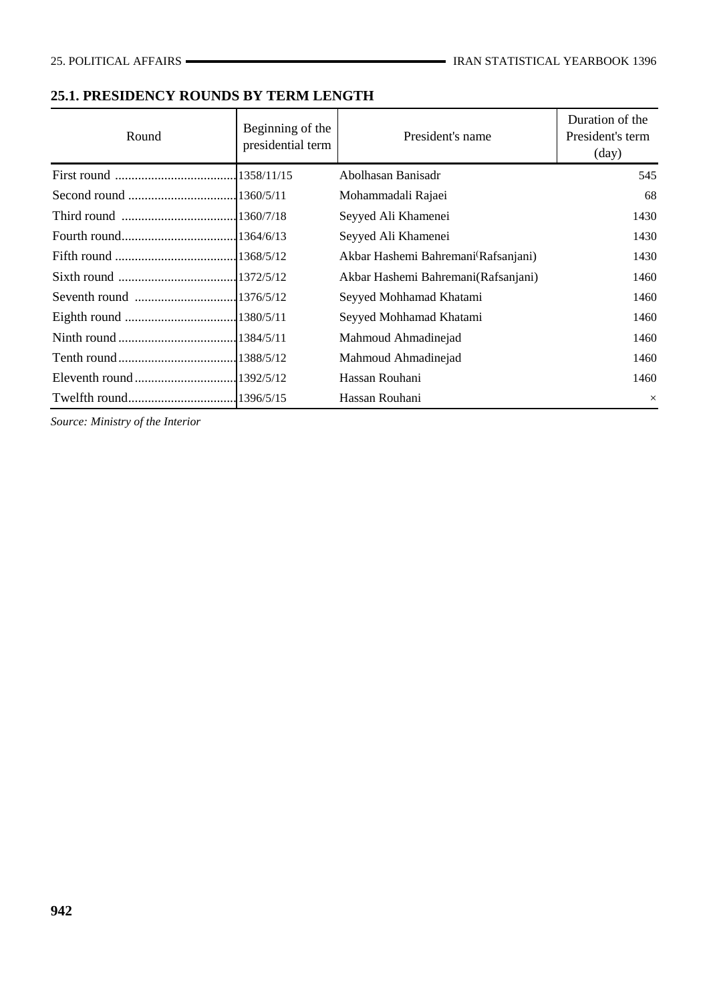## **25.1. PRESIDENCY ROUNDS BY TERM LENGTH**

| Round | Beginning of the<br>presidential term | President's name                                 | Duration of the<br>President's term<br>$\text{(day)}$ |
|-------|---------------------------------------|--------------------------------------------------|-------------------------------------------------------|
|       |                                       | Abolhasan Banisadr                               | 545                                                   |
|       |                                       | Mohammadali Rajaei                               | 68                                                    |
|       |                                       | Seyyed Ali Khamenei                              | 1430                                                  |
|       |                                       | Seyyed Ali Khamenei                              | 1430                                                  |
|       |                                       | Akbar Hashemi Bahremani <sup>(</sup> Rafsanjani) | 1430                                                  |
|       |                                       | Akbar Hashemi Bahremani(Rafsanjani)              | 1460                                                  |
|       |                                       | Seyyed Mohhamad Khatami                          | 1460                                                  |
|       |                                       | Seyyed Mohhamad Khatami                          | 1460                                                  |
|       |                                       | Mahmoud Ahmadinejad                              | 1460                                                  |
|       |                                       | Mahmoud Ahmadinejad                              | 1460                                                  |
|       |                                       | Hassan Rouhani                                   | 1460                                                  |
|       |                                       | Hassan Rouhani                                   | $\times$                                              |

*Source: Ministry of the Interior*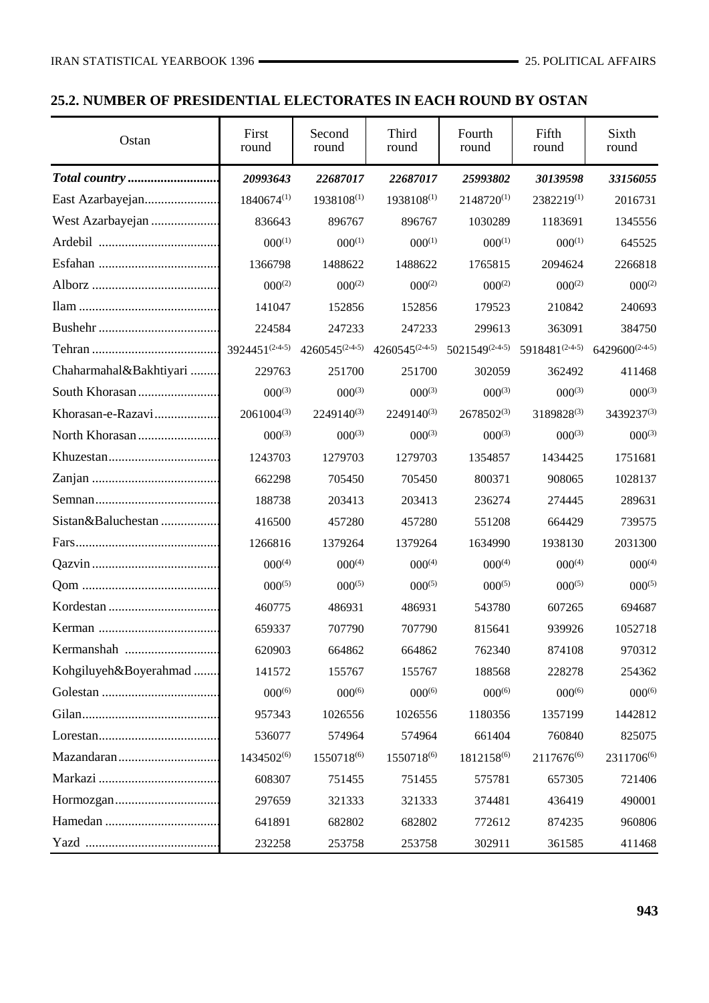## **25.2. NUMBER OF PRESIDENTIAL ELECTORATES IN EACH ROUND BY OSTAN**

| Ostan                  | First<br>round              | Second<br>round             | Third<br>round              | Fourth<br>round             | Fifth<br>round | Sixth<br>round              |
|------------------------|-----------------------------|-----------------------------|-----------------------------|-----------------------------|----------------|-----------------------------|
|                        | 20993643                    | 22687017                    | 22687017                    | 25993802                    | 30139598       | 33156055                    |
|                        | 1840674(1)                  | 1938108(1)                  | 1938108(1)                  | 2148720(1)                  | 2382219(1)     | 2016731                     |
|                        | 836643                      | 896767                      | 896767                      | 1030289                     | 1183691        | 1345556                     |
|                        | $000^{(1)}$                 | $000^{(1)}$                 | $000^{(1)}$                 | $000^{(1)}$                 | $000^{(1)}$    | 645525                      |
|                        | 1366798                     | 1488622                     | 1488622                     | 1765815                     | 2094624        | 2266818                     |
|                        | $000^{(2)}$                 | $000^{(2)}$                 | $000^{(2)}$                 | $000^{(2)}$                 | $000^{(2)}$    | $000^{(2)}$                 |
|                        | 141047                      | 152856                      | 152856                      | 179523                      | 210842         | 240693                      |
|                        | 224584                      | 247233                      | 247233                      | 299613                      | 363091         | 384750                      |
|                        | $3924451^{(2\cdot4\cdot5)}$ | $4260545^{(2\cdot4\cdot5)}$ | $4260545^{(2\cdot4\cdot5)}$ | $5021549^{(2\cdot4\cdot5)}$ | 5918481(2445)  | $6429600^{(2\cdot4\cdot5)}$ |
| Chaharmahal&Bakhtiyari | 229763                      | 251700                      | 251700                      | 302059                      | 362492         | 411468                      |
|                        | $000^{(3)}$                 | $000^{(3)}$                 | $000^{(3)}$                 | $000^{(3)}$                 | $000^{(3)}$    | $000^{(3)}$                 |
| Khorasan-e-Razavi      | $2061004^{(3)}$             | 2249140(3)                  | 2249140(3)                  | $2678502^{(3)}$             | 3189828(3)     | 3439237(3)                  |
|                        | $000^{(3)}$                 | $000^{(3)}$                 | $000^{(3)}$                 | $000^{(3)}$                 | $000^{(3)}$    | $000^{(3)}$                 |
|                        | 1243703                     | 1279703                     | 1279703                     | 1354857                     | 1434425        | 1751681                     |
|                        | 662298                      | 705450                      | 705450                      | 800371                      | 908065         | 1028137                     |
|                        | 188738                      | 203413                      | 203413                      | 236274                      | 274445         | 289631                      |
| Sistan&Baluchestan     | 416500                      | 457280                      | 457280                      | 551208                      | 664429         | 739575                      |
|                        | 1266816                     | 1379264                     | 1379264                     | 1634990                     | 1938130        | 2031300                     |
|                        | $000^{(4)}$                 | $000^{(4)}$                 | $000^{(4)}$                 | $000^{(4)}$                 | $000^{(4)}$    | $000^{(4)}$                 |
|                        | $000^{(5)}$                 | $000^{(5)}$                 | $000^{(5)}$                 | $000^{(5)}$                 | $000^{(5)}$    | $000^{(5)}$                 |
|                        | 460775                      | 486931                      | 486931                      | 543780                      | 607265         | 694687                      |
|                        | 659337                      | 707790                      | 707790                      | 815641                      | 939926         | 1052718                     |
|                        | 620903                      | 664862                      | 664862                      | 762340                      | 874108         | 970312                      |
| Kohgiluyeh&Boyerahmad  | 141572                      | 155767                      | 155767                      | 188568                      | 228278         | 254362                      |
|                        | $000^{(6)}$                 | $000^{(6)}$                 | $000^{(6)}$                 | $000^{(6)}$                 | $000^{(6)}$    | $000^{(6)}$                 |
|                        | 957343                      | 1026556                     | 1026556                     | 1180356                     | 1357199        | 1442812                     |
|                        | 536077                      | 574964                      | 574964                      | 661404                      | 760840         | 825075                      |
|                        | 1434502(6)                  | 1550718 <sup>(6)</sup>      | 1550718 <sup>(6)</sup>      | 1812158(6)                  | 2117676(6)     | 2311706(6)                  |
|                        | 608307                      | 751455                      | 751455                      | 575781                      | 657305         | 721406                      |
|                        | 297659                      | 321333                      | 321333                      | 374481                      | 436419         | 490001                      |
|                        | 641891                      | 682802                      | 682802                      | 772612                      | 874235         | 960806                      |
|                        | 232258                      | 253758                      | 253758                      | 302911                      | 361585         | 411468                      |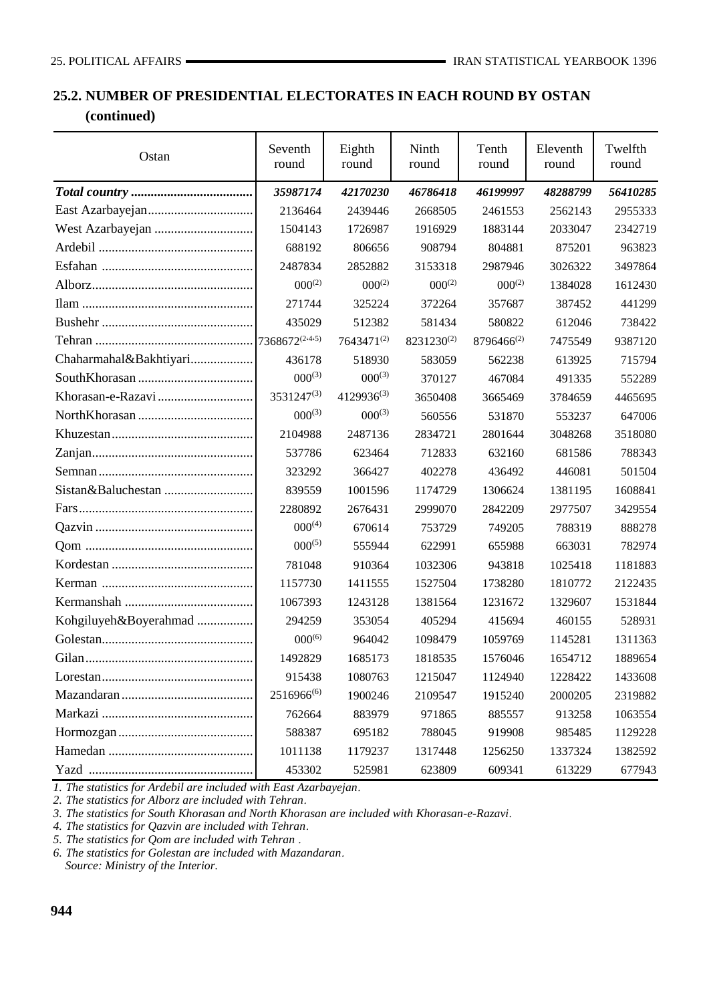## **25.2. NUMBER OF PRESIDENTIAL ELECTORATES IN EACH ROUND BY OSTAN (continued)**

| Ostan                  | Seventh<br>round | Eighth<br>round | Ninth<br>round | Tenth<br>round | Eleventh<br>round | Twelfth<br>round |
|------------------------|------------------|-----------------|----------------|----------------|-------------------|------------------|
|                        | 35987174         | 42170230        | 46786418       | 46199997       | 48288799          | 56410285         |
|                        | 2136464          | 2439446         | 2668505        | 2461553        | 2562143           | 2955333          |
| West Azarbayejan       | 1504143          | 1726987         | 1916929        | 1883144        | 2033047           | 2342719          |
|                        | 688192           | 806656          | 908794         | 804881         | 875201            | 963823           |
|                        | 2487834          | 2852882         | 3153318        | 2987946        | 3026322           | 3497864          |
|                        | $000^{(2)}$      | $000^{(2)}$     | $000^{(2)}$    | $000^{(2)}$    | 1384028           | 1612430          |
|                        | 271744           | 325224          | 372264         | 357687         | 387452            | 441299           |
|                        | 435029           | 512382          | 581434         | 580822         | 612046            | 738422           |
|                        | 7368672(2445)    | 7643471(2)      | 8231230(2)     | 8796466(2)     | 7475549           | 9387120          |
| Chaharmahal&Bakhtiyari | 436178           | 518930          | 583059         | 562238         | 613925            | 715794           |
|                        | $000^{(3)}$      | $000^{(3)}$     | 370127         | 467084         | 491335            | 552289           |
|                        | 3531247(3)       | $4129936^{(3)}$ | 3650408        | 3665469        | 3784659           | 4465695          |
|                        | $000^{(3)}$      | $000^{(3)}$     | 560556         | 531870         | 553237            | 647006           |
|                        | 2104988          | 2487136         | 2834721        | 2801644        | 3048268           | 3518080          |
|                        | 537786           | 623464          | 712833         | 632160         | 681586            | 788343           |
|                        | 323292           | 366427          | 402278         | 436492         | 446081            | 501504           |
|                        | 839559           | 1001596         | 1174729        | 1306624        | 1381195           | 1608841          |
|                        | 2280892          | 2676431         | 2999070        | 2842209        | 2977507           | 3429554          |
|                        | $000^{(4)}$      | 670614          | 753729         | 749205         | 788319            | 888278           |
|                        | $000^{(5)}$      | 555944          | 622991         | 655988         | 663031            | 782974           |
|                        | 781048           | 910364          | 1032306        | 943818         | 1025418           | 1181883          |
|                        | 1157730          | 1411555         | 1527504        | 1738280        | 1810772           | 2122435          |
|                        | 1067393          | 1243128         | 1381564        | 1231672        | 1329607           | 1531844          |
| Kohgiluyeh&Boyerahmad  | 294259           | 353054          | 405294         | 415694         | 460155            | 528931           |
|                        | $000^{(6)}$      | 964042          | 1098479        | 1059769        | 1145281           | 1311363          |
|                        | 1492829          | 1685173         | 1818535        | 1576046        | 1654712           | 1889654          |
|                        | 915438           | 1080763         | 1215047        | 1124940        | 1228422           | 1433608          |
|                        | $2516966^{(6)}$  | 1900246         | 2109547        | 1915240        | 2000205           | 2319882          |
|                        | 762664           | 883979          | 971865         | 885557         | 913258            | 1063554          |
|                        | 588387           | 695182          | 788045         | 919908         | 985485            | 1129228          |
|                        | 1011138          | 1179237         | 1317448        | 1256250        | 1337324           | 1382592          |
|                        | 453302           | 525981          | 623809         | 609341         | 613229            | 677943           |

*1. The statistics for Ardebil are included with East Azarbayejan*.

*2. The statistics for Alborz are included with Tehran*.

*3. The statistics for South Khorasan and North Khorasan are included with Khorasan-e-Razavi*.

*4. The statistics for Qazvin are included with Tehran*.

*5. The statistics for Qom are included with Tehran* .

*6. The statistics for Golestan are included with Mazandaran*.  *Source: Ministry of the Interior.*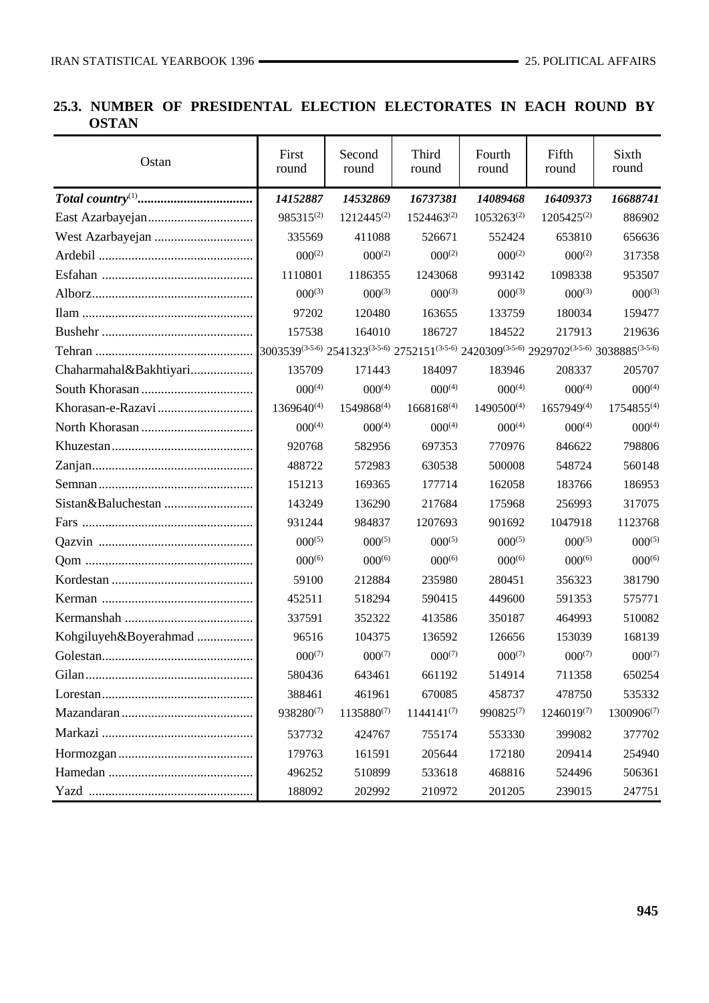# **25.3. NUMBER OF PRESIDENTAL ELECTION ELECTORATES IN EACH ROUND BY OSTAN**

| Ostan                                                                                                   | First<br>round                                                                            | Second<br>round | Third<br>round  | Fourth<br>round        | Fifth<br>round  | Sixth<br>round  |
|---------------------------------------------------------------------------------------------------------|-------------------------------------------------------------------------------------------|-----------------|-----------------|------------------------|-----------------|-----------------|
| $\textit{Total country}^{(1)} \dots \dots \dots \dots \dots \dots \dots \dots \dots \dots \dots$        | 14152887                                                                                  | 14532869        | 16737381        | 14089468               | 16409373        | 16688741        |
|                                                                                                         | 985315(2)                                                                                 | $1212445^{(2)}$ | $1524463^{(2)}$ | $1053263^{(2)}$        | $1205425^{(2)}$ | 886902          |
|                                                                                                         | 335569                                                                                    | 411088          | 526671          | 552424                 | 653810          | 656636          |
|                                                                                                         | $000^{(2)}$                                                                               | $000^{(2)}$     | $000^{(2)}$     | $000^{(2)}$            | $000^{(2)}$     | 317358          |
|                                                                                                         | 1110801                                                                                   | 1186355         | 1243068         | 993142                 | 1098338         | 953507          |
|                                                                                                         | $000^{(3)}$                                                                               | $000^{(3)}$     | $000^{(3)}$     | $000^{(3)}$            | $000^{(3)}$     | $000^{(3)}$     |
|                                                                                                         | 97202                                                                                     | 120480          | 163655          | 133759                 | 180034          | 159477          |
|                                                                                                         | 157538                                                                                    | 164010          | 186727          | 184522                 | 217913          | 219636          |
|                                                                                                         | 3003539(3,5,6) 2541323(3,5,6) 2752151(3,5,6) 2420309(3,5,6) 2929702(3,5,6) 3038885(3,5,6) |                 |                 |                        |                 |                 |
| Chaharmahal&Bakhtiyari                                                                                  | 135709                                                                                    | 171443          | 184097          | 183946                 | 208337          | 205707          |
|                                                                                                         | $000^{(4)}$                                                                               | $000^{(4)}$     | $000^{(4)}$     | $000^{(4)}$            | $000^{(4)}$     | $000^{(4)}$     |
|                                                                                                         | 1369640(4)                                                                                | 1549868(4)      | $1668168^{(4)}$ | 1490500 <sup>(4)</sup> | $1657949^{(4)}$ | 1754855(4)      |
|                                                                                                         | $000^{(4)}$                                                                               | $000^{(4)}$     | $000^{(4)}$     | $000^{(4)}$            | $000^{(4)}$     | $000^{(4)}$     |
|                                                                                                         | 920768                                                                                    | 582956          | 697353          | 770976                 | 846622          | 798806          |
|                                                                                                         | 488722                                                                                    | 572983          | 630538          | 500008                 | 548724          | 560148          |
|                                                                                                         | 151213                                                                                    | 169365          | 177714          | 162058                 | 183766          | 186953          |
|                                                                                                         | 143249                                                                                    | 136290          | 217684          | 175968                 | 256993          | 317075          |
|                                                                                                         | 931244                                                                                    | 984837          | 1207693         | 901692                 | 1047918         | 1123768         |
|                                                                                                         | $000^{(5)}$                                                                               | $000^{(5)}$     | $000^{(5)}$     | $000^{(5)}$            | $000^{(5)}$     | $000^{(5)}$     |
|                                                                                                         | $000^{(6)}$                                                                               | $000^{(6)}$     | $000^{(6)}$     | $000^{(6)}$            | $000^{(6)}$     | $000^{(6)}$     |
|                                                                                                         | 59100                                                                                     | 212884          | 235980          | 280451                 | 356323          | 381790          |
|                                                                                                         | 452511                                                                                    | 518294          | 590415          | 449600                 | 591353          | 575771          |
|                                                                                                         | 337591                                                                                    | 352322          | 413586          | 350187                 | 464993          | 510082          |
| Kohgiluyeh&Boyerahmad                                                                                   | 96516                                                                                     | 104375          | 136592          | 126656                 | 153039          | 168139          |
|                                                                                                         | $000^{(7)}$                                                                               | $000^{(7)}$     | $000^{(7)}$     | $000^{(7)}$            | $000^{(7)}$     | $000^{(7)}$     |
|                                                                                                         | 580436                                                                                    | 643461          | 661192          | 514914                 | 711358          | 650254          |
| $Lores \tan \ldots \ldots \ldots \ldots \ldots \ldots \ldots \ldots \ldots \ldots \ldots \ldots \ldots$ | 388461                                                                                    | 461961          | 670085          | 458737                 | 478750          | 535332          |
|                                                                                                         | 938280(7)                                                                                 | 1135880(7)      | $1144141^{(7)}$ | $990825^{(7)}$         | $1246019^{(7)}$ | $1300906^{(7)}$ |
|                                                                                                         | 537732                                                                                    | 424767          | 755174          | 553330                 | 399082          | 377702          |
|                                                                                                         | 179763                                                                                    | 161591          | 205644          | 172180                 | 209414          | 254940          |
|                                                                                                         | 496252                                                                                    | 510899          | 533618          | 468816                 | 524496          | 506361          |
|                                                                                                         | 188092                                                                                    | 202992          | 210972          | 201205                 | 239015          | 247751          |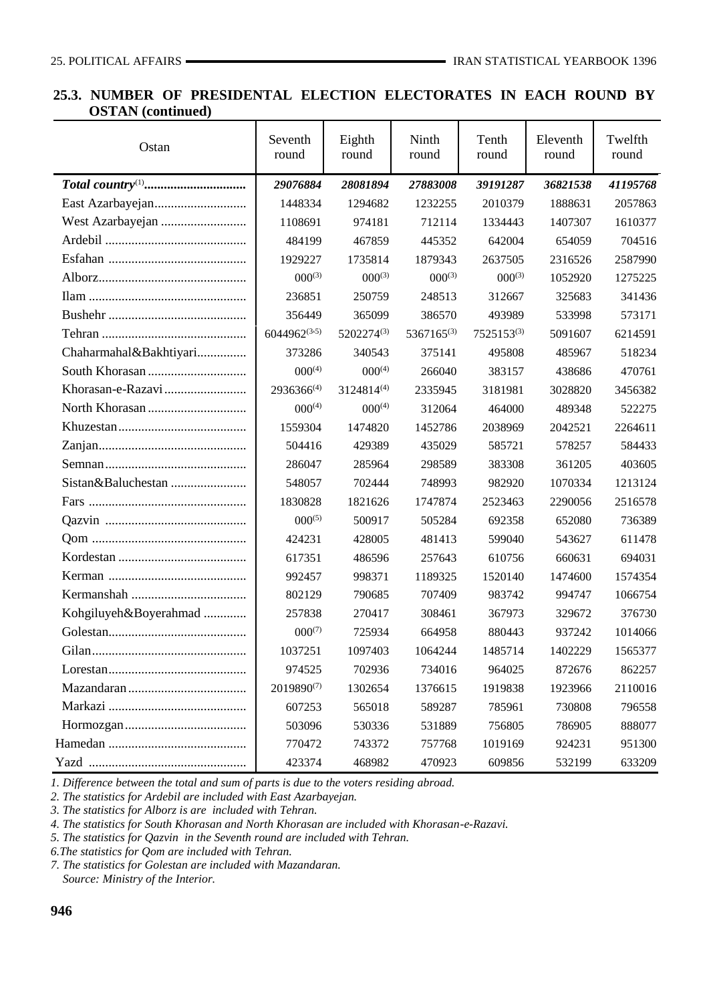### **25.3. NUMBER OF PRESIDENTAL ELECTION ELECTORATES IN EACH ROUND BY OSTAN (continued)**

| Ostan                                                                                | Seventh<br>round | Eighth<br>round | Ninth<br>round | Tenth<br>round | Eleventh<br>round | Twelfth<br>round |
|--------------------------------------------------------------------------------------|------------------|-----------------|----------------|----------------|-------------------|------------------|
| $\textit{Total country}^{(1)} \dots \dots \dots \dots \dots \dots \dots \dots \dots$ | 29076884         | 28081894        | 27883008       | 39191287       | 36821538          | 41195768         |
|                                                                                      | 1448334          | 1294682         | 1232255        | 2010379        | 1888631           | 2057863          |
|                                                                                      | 1108691          | 974181          | 712114         | 1334443        | 1407307           | 1610377          |
|                                                                                      | 484199           | 467859          | 445352         | 642004         | 654059            | 704516           |
|                                                                                      | 1929227          | 1735814         | 1879343        | 2637505        | 2316526           | 2587990          |
|                                                                                      | $000^{(3)}$      | $000^{(3)}$     | $000^{(3)}$    | $000^{(3)}$    | 1052920           | 1275225          |
|                                                                                      | 236851           | 250759          | 248513         | 312667         | 325683            | 341436           |
|                                                                                      | 356449           | 365099          | 386570         | 493989         | 533998            | 573171           |
|                                                                                      | 6044962(3,5)     | 5202274(3)      | 5367165(3)     | 7525153(3)     | 5091607           | 6214591          |
| Chaharmahal&Bakhtiyari                                                               | 373286           | 340543          | 375141         | 495808         | 485967            | 518234           |
|                                                                                      | $000^{(4)}$      | $000^{(4)}$     | 266040         | 383157         | 438686            | 470761           |
|                                                                                      | 2936366(4)       | 3124814(4)      | 2335945        | 3181981        | 3028820           | 3456382          |
|                                                                                      | $000^{(4)}$      | $000^{(4)}$     | 312064         | 464000         | 489348            | 522275           |
|                                                                                      | 1559304          | 1474820         | 1452786        | 2038969        | 2042521           | 2264611          |
|                                                                                      | 504416           | 429389          | 435029         | 585721         | 578257            | 584433           |
|                                                                                      | 286047           | 285964          | 298589         | 383308         | 361205            | 403605           |
|                                                                                      | 548057           | 702444          | 748993         | 982920         | 1070334           | 1213124          |
|                                                                                      | 1830828          | 1821626         | 1747874        | 2523463        | 2290056           | 2516578          |
|                                                                                      | $000^{(5)}$      | 500917          | 505284         | 692358         | 652080            | 736389           |
|                                                                                      | 424231           | 428005          | 481413         | 599040         | 543627            | 611478           |
|                                                                                      | 617351           | 486596          | 257643         | 610756         | 660631            | 694031           |
|                                                                                      | 992457           | 998371          | 1189325        | 1520140        | 1474600           | 1574354          |
|                                                                                      | 802129           | 790685          | 707409         | 983742         | 994747            | 1066754          |
| Kohgiluyeh&Boyerahmad                                                                | 257838           | 270417          | 308461         | 367973         | 329672            | 376730           |
|                                                                                      | $000^{(7)}$      | 725934          | 664958         | 880443         | 937242            | 1014066          |
|                                                                                      | 1037251          | 1097403         | 1064244        | 1485714        | 1402229           | 1565377          |
| $Lores \tan \ldots \ldots \ldots \ldots \ldots \ldots \ldots \ldots \ldots$          | 974525           | 702936          | 734016         | 964025         | 872676            | 862257           |
|                                                                                      | 2019890(7)       | 1302654         | 1376615        | 1919838        | 1923966           | 2110016          |
|                                                                                      | 607253           | 565018          | 589287         | 785961         | 730808            | 796558           |
|                                                                                      | 503096           | 530336          | 531889         | 756805         | 786905            | 888077           |
|                                                                                      | 770472           | 743372          | 757768         | 1019169        | 924231            | 951300           |
|                                                                                      | 423374           | 468982          | 470923         | 609856         | 532199            | 633209           |

*1. Difference between the total and sum of parts is due to the voters residing abroad.*

*2. The statistics for Ardebil are included with East Azarbayejan.*

*3. The statistics for Alborz is are included with Tehran.*

*4. The statistics for South Khorasan and North Khorasan are included with Khorasan-e-Razavi.*

*5. The statistics for Qazvin in the Seventh round are included with Tehran.*

*6.The statistics for Qom are included with Tehran.*

*7. The statistics for Golestan are included with Mazandaran. Source: Ministry of the Interior.*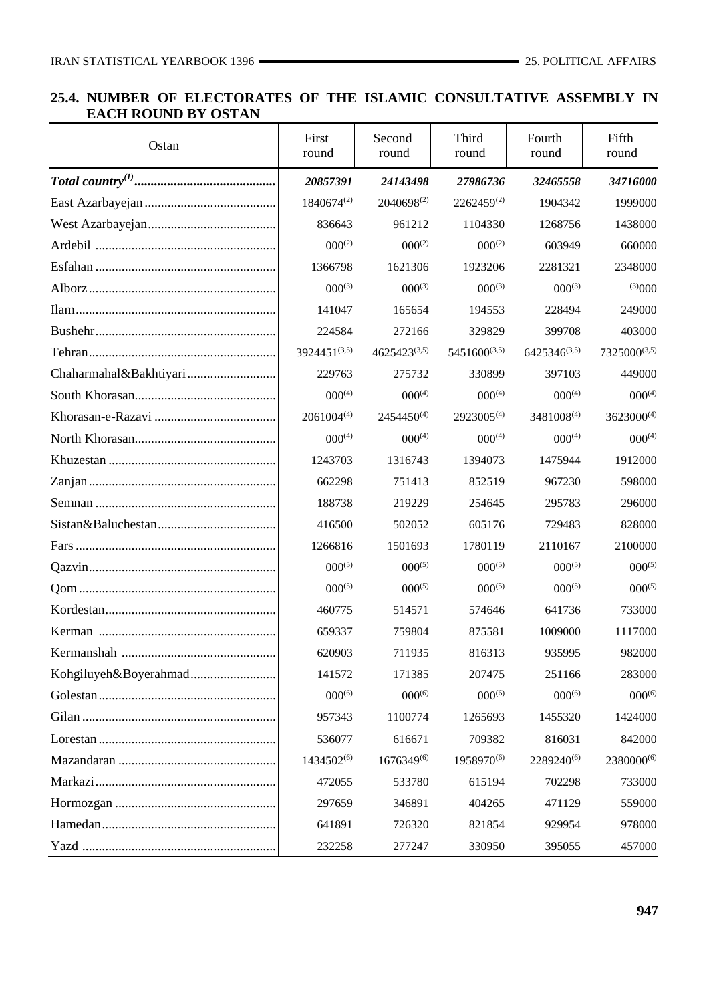## **25.4. NUMBER OF ELECTORATES OF THE ISLAMIC CONSULTATIVE ASSEMBLY IN EACH ROUND BY OSTAN**

| Ostan | First<br>round  | Second<br>round | Third<br>round         | Fourth<br>round   | Fifth<br>round  |
|-------|-----------------|-----------------|------------------------|-------------------|-----------------|
|       | 20857391        | 24143498        | 27986736               | 32465558          | 34716000        |
|       | 1840674(2)      | 2040698(2)      | $2262459^{(2)}$        | 1904342           | 1999000         |
|       | 836643          | 961212          | 1104330                | 1268756           | 1438000         |
|       | $000^{(2)}$     | $000^{(2)}$     | $000^{(2)}$            | 603949            | 660000          |
|       | 1366798         | 1621306         | 1923206                | 2281321           | 2348000         |
|       | $000^{(3)}$     | $000^{(3)}$     | $000^{(3)}$            | $000^{(3)}$       | (3)000          |
|       | 141047          | 165654          | 194553                 | 228494            | 249000          |
|       | 224584          | 272166          | 329829                 | 399708            | 403000          |
|       | 3924451(3,5)    | 4625423(3,5)    | 5451600 $(3,5)$        | $6425346^{(3,5)}$ | 7325000(3,5)    |
|       | 229763          | 275732          | 330899                 | 397103            | 449000          |
|       | $000^{(4)}$     | $000^{(4)}$     | $000^{(4)}$            | $000^{(4)}$       | $000^{(4)}$     |
|       | $2061004^{(4)}$ | $2454450^{(4)}$ | 2923005(4)             | 3481008(4)        | $3623000^{(4)}$ |
|       | $000^{(4)}$     | $000^{(4)}$     | $000^{(4)}$            | $000^{(4)}$       | $000^{(4)}$     |
|       | 1243703         | 1316743         | 1394073                | 1475944           | 1912000         |
|       | 662298          | 751413          | 852519                 | 967230            | 598000          |
|       | 188738          | 219229          | 254645                 | 295783            | 296000          |
|       | 416500          | 502052          | 605176                 | 729483            | 828000          |
|       | 1266816         | 1501693         | 1780119                | 2110167           | 2100000         |
|       | $000^{(5)}$     | $000^{(5)}$     | $000^{(5)}$            | $000^{(5)}$       | $000^{(5)}$     |
|       | $000^{(5)}$     | $000^{(5)}$     | $000^{(5)}$            | $000^{(5)}$       | $000^{(5)}$     |
|       | 460775          | 514571          | 574646                 | 641736            | 733000          |
|       | 659337          | 759804          | 875581                 | 1009000           | 1117000         |
|       | 620903          | 711935          | 816313                 | 935995            | 982000          |
|       | 141572          | 171385          | 207475                 | 251166            | 283000          |
|       | $000^{(6)}$     | $000^{(6)}$     | $000^{(6)}$            | $000^{(6)}$       | $000^{(6)}$     |
|       | 957343          | 1100774         | 1265693                | 1455320           | 1424000         |
|       | 536077          | 616671          | 709382                 | 816031            | 842000          |
|       | 1434502(6)      | 1676349(6)      | 1958970 <sup>(6)</sup> | 2289240(6)        | 2380000(6)      |
|       | 472055          | 533780          | 615194                 | 702298            | 733000          |
|       | 297659          | 346891          | 404265                 | 471129            | 559000          |
|       | 641891          | 726320          | 821854                 | 929954            | 978000          |
|       | 232258          | 277247          | 330950                 | 395055            | 457000          |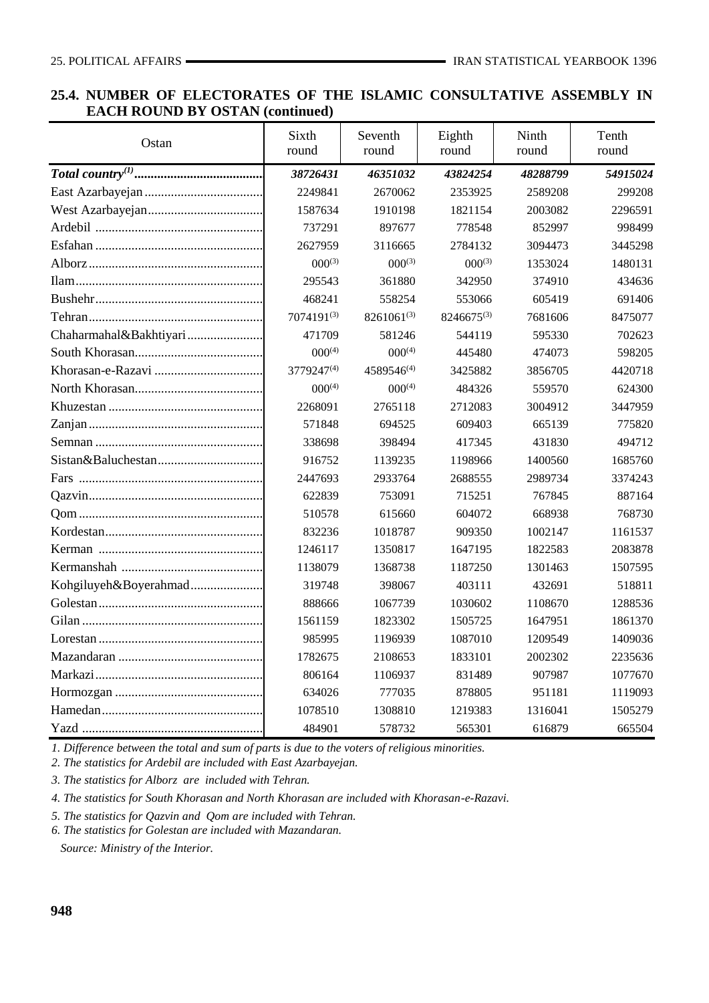### **25.4. NUMBER OF ELECTORATES OF THE ISLAMIC CONSULTATIVE ASSEMBLY IN EACH ROUND BY OSTAN (continued)**

| Ostan                  | Sixth<br>round | Seventh<br>round | Eighth<br>round | Ninth<br>round | Tenth<br>round |
|------------------------|----------------|------------------|-----------------|----------------|----------------|
|                        | 38726431       | 46351032         | 43824254        | 48288799       | 54915024       |
|                        | 2249841        | 2670062          | 2353925         | 2589208        | 299208         |
|                        | 1587634        | 1910198          | 1821154         | 2003082        | 2296591        |
|                        | 737291         | 897677           | 778548          | 852997         | 998499         |
|                        | 2627959        | 3116665          | 2784132         | 3094473        | 3445298        |
|                        | $000^{(3)}$    | $000^{(3)}$      | $000^{(3)}$     | 1353024        | 1480131        |
|                        | 295543         | 361880           | 342950          | 374910         | 434636         |
|                        | 468241         | 558254           | 553066          | 605419         | 691406         |
|                        | 7074191(3)     | $8261061^{(3)}$  | 8246675(3)      | 7681606        | 8475077        |
| Chaharmahal&Bakhtiyari | 471709         | 581246           | 544119          | 595330         | 702623         |
|                        | $000^{(4)}$    | $000^{(4)}$      | 445480          | 474073         | 598205         |
|                        | 3779247(4)     | 4589546(4)       | 3425882         | 3856705        | 4420718        |
|                        | $000^{(4)}$    | $000^{(4)}$      | 484326          | 559570         | 624300         |
|                        | 2268091        | 2765118          | 2712083         | 3004912        | 3447959        |
|                        | 571848         | 694525           | 609403          | 665139         | 775820         |
|                        | 338698         | 398494           | 417345          | 431830         | 494712         |
|                        | 916752         | 1139235          | 1198966         | 1400560        | 1685760        |
|                        | 2447693        | 2933764          | 2688555         | 2989734        | 3374243        |
|                        | 622839         | 753091           | 715251          | 767845         | 887164         |
|                        | 510578         | 615660           | 604072          | 668938         | 768730         |
|                        | 832236         | 1018787          | 909350          | 1002147        | 1161537        |
|                        | 1246117        | 1350817          | 1647195         | 1822583        | 2083878        |
|                        | 1138079        | 1368738          | 1187250         | 1301463        | 1507595        |
| Kohgiluyeh&Boyerahmad  | 319748         | 398067           | 403111          | 432691         | 518811         |
|                        | 888666         | 1067739          | 1030602         | 1108670        | 1288536        |
|                        | 1561159        | 1823302          | 1505725         | 1647951        | 1861370        |
|                        | 985995         | 1196939          | 1087010         | 1209549        | 1409036        |
|                        | 1782675        | 2108653          | 1833101         | 2002302        | 2235636        |
|                        | 806164         | 1106937          | 831489          | 907987         | 1077670        |
|                        | 634026         | 777035           | 878805          | 951181         | 1119093        |
|                        | 1078510        | 1308810          | 1219383         | 1316041        | 1505279        |
|                        | 484901         | 578732           | 565301          | 616879         | 665504         |

*1. Difference between the total and sum of parts is due to the voters of religious minorities.*

*2. The statistics for Ardebil are included with East Azarbayejan.*

*3. The statistics for Alborz are included with Tehran.*

*4. The statistics for South Khorasan and North Khorasan are included with Khorasan-e-Razavi.*

*5. The statistics for Qazvin and Qom are included with Tehran.*

*6. The statistics for Golestan are included with Mazandaran.*

 *Source: Ministry of the Interior.*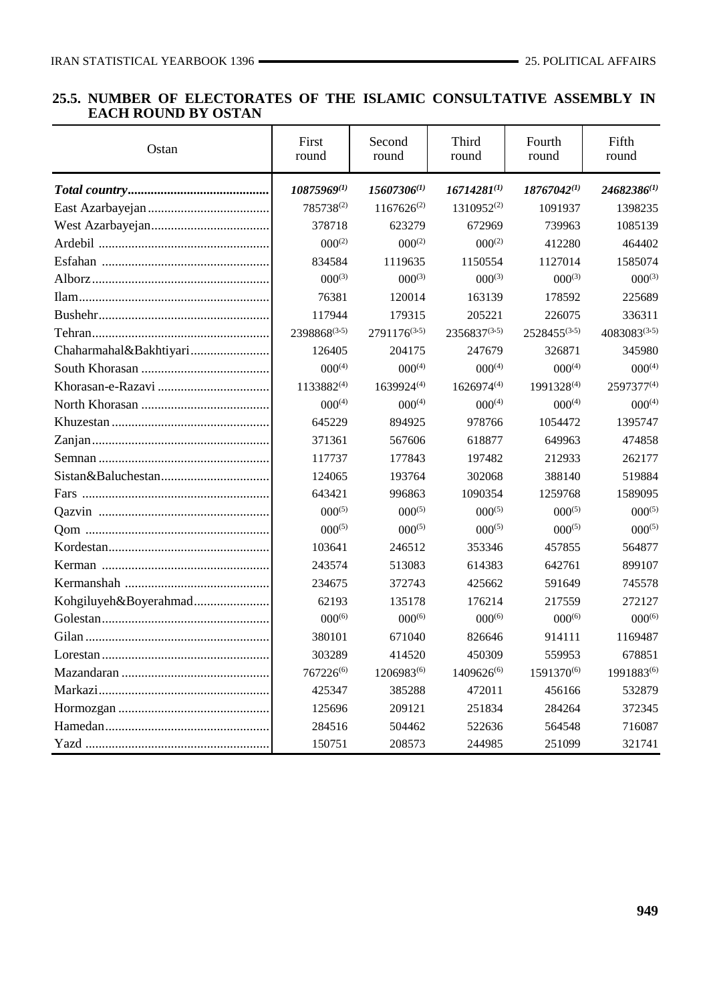#### **25.5. NUMBER OF ELECTORATES OF THE ISLAMIC CONSULTATIVE ASSEMBLY IN EACH ROUND BY OSTAN**

| Ostan                  | First<br>round  | Second<br>round | Third<br>round   | Fourth<br>round  | Fifth<br>round   |
|------------------------|-----------------|-----------------|------------------|------------------|------------------|
|                        | 10875969(1)     | 15607306(1)     | $16714281^{(1)}$ | $18767042^{(1)}$ | $24682386^{(1)}$ |
|                        | 785738(2)       | $1167626^{(2)}$ | 1310952(2)       | 1091937          | 1398235          |
|                        | 378718          | 623279          | 672969           | 739963           | 1085139          |
|                        | $000^{(2)}$     | $000^{(2)}$     | $000^{(2)}$      | 412280           | 464402           |
|                        | 834584          | 1119635         | 1150554          | 1127014          | 1585074          |
|                        | $000^{(3)}$     | $000^{(3)}$     | $000^{(3)}$      | $000^{(3)}$      | $000^{(3)}$      |
|                        | 76381           | 120014          | 163139           | 178592           | 225689           |
|                        | 117944          | 179315          | 205221           | 226075           | 336311           |
|                        | 2398868(3,5)    | 2791176(3,5)    | 2356837(3,5)     | 2528455(3,5)     | 4083083(3,5)     |
| Chaharmahal&Bakhtiyari | 126405          | 204175          | 247679           | 326871           | 345980           |
|                        | $000^{(4)}$     | $000^{(4)}$     | $000^{(4)}$      | $000^{(4)}$      | $000^{(4)}$      |
|                        | $1133882^{(4)}$ | 1639924(4)      | 1626974(4)       | 1991328(4)       | 2597377(4)       |
|                        | $000^{(4)}$     | $000^{(4)}$     | $000^{(4)}$      | $000^{(4)}$      | $000^{(4)}$      |
|                        | 645229          | 894925          | 978766           | 1054472          | 1395747          |
|                        | 371361          | 567606          | 618877           | 649963           | 474858           |
|                        | 117737          | 177843          | 197482           | 212933           | 262177           |
|                        | 124065          | 193764          | 302068           | 388140           | 519884           |
|                        | 643421          | 996863          | 1090354          | 1259768          | 1589095          |
|                        | $000^{(5)}$     | $000^{(5)}$     | $000^{(5)}$      | $000^{(5)}$      | $000^{(5)}$      |
|                        | $000^{(5)}$     | $000^{(5)}$     | $000^{(5)}$      | $000^{(5)}$      | $000^{(5)}$      |
|                        | 103641          | 246512          | 353346           | 457855           | 564877           |
|                        | 243574          | 513083          | 614383           | 642761           | 899107           |
|                        | 234675          | 372743          | 425662           | 591649           | 745578           |
| Kohgiluyeh&Boyerahmad  | 62193           | 135178          | 176214           | 217559           | 272127           |
|                        | $000^{(6)}$     | $000^{(6)}$     | $000^{(6)}$      | $000^{(6)}$      | $000^{(6)}$      |
|                        | 380101          | 671040          | 826646           | 914111           | 1169487          |
|                        | 303289          | 414520          | 450309           | 559953           | 678851           |
|                        | 767226(6)       | 1206983(6)      | 1409626(6)       | 1591370(6)       | 1991883(6)       |
|                        | 425347          | 385288          | 472011           | 456166           | 532879           |
|                        | 125696          | 209121          | 251834           | 284264           | 372345           |
|                        | 284516          | 504462          | 522636           | 564548           | 716087           |
|                        | 150751          | 208573          | 244985           | 251099           | 321741           |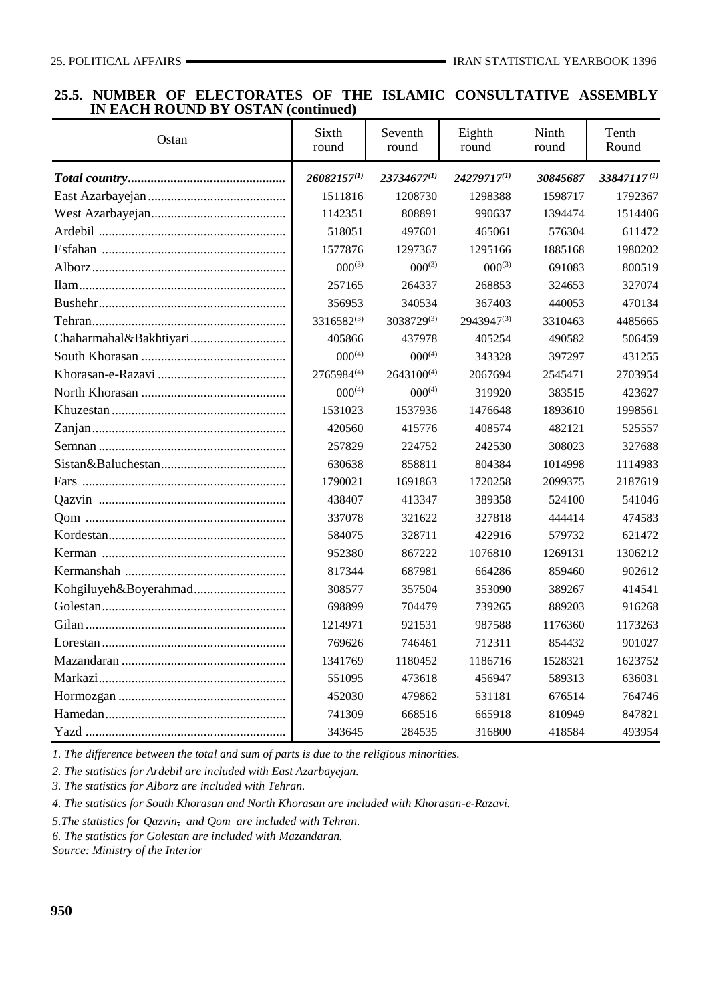#### **25.5. NUMBER OF ELECTORATES OF THE ISLAMIC CONSULTATIVE ASSEMBLY IN EACH ROUND BY OSTAN (continued)**

| Ostan | Sixth<br>round   | Seventh<br>round | Eighth<br>round | Ninth<br>round | Tenth<br>Round |
|-------|------------------|------------------|-----------------|----------------|----------------|
|       | $26082157^{(1)}$ | 23734677(1)      | 24279717(1)     | 30845687       | 33847117(1)    |
|       | 1511816          | 1208730          | 1298388         | 1598717        | 1792367        |
|       | 1142351          | 808891           | 990637          | 1394474        | 1514406        |
|       | 518051           | 497601           | 465061          | 576304         | 611472         |
|       | 1577876          | 1297367          | 1295166         | 1885168        | 1980202        |
|       | $000^{(3)}$      | $000^{(3)}$      | $000^{(3)}$     | 691083         | 800519         |
|       | 257165           | 264337           | 268853          | 324653         | 327074         |
|       | 356953           | 340534           | 367403          | 440053         | 470134         |
|       | 3316582(3)       | 3038729(3)       | 2943947(3)      | 3310463        | 4485665        |
|       | 405866           | 437978           | 405254          | 490582         | 506459         |
|       | $000^{(4)}$      | $000^{(4)}$      | 343328          | 397297         | 431255         |
|       | 2765984(4)       | 2643100(4)       | 2067694         | 2545471        | 2703954        |
|       | $000^{(4)}$      | $000^{(4)}$      | 319920          | 383515         | 423627         |
|       | 1531023          | 1537936          | 1476648         | 1893610        | 1998561        |
|       | 420560           | 415776           | 408574          | 482121         | 525557         |
|       | 257829           | 224752           | 242530          | 308023         | 327688         |
|       | 630638           | 858811           | 804384          | 1014998        | 1114983        |
|       | 1790021          | 1691863          | 1720258         | 2099375        | 2187619        |
|       | 438407           | 413347           | 389358          | 524100         | 541046         |
|       | 337078           | 321622           | 327818          | 444414         | 474583         |
|       | 584075           | 328711           | 422916          | 579732         | 621472         |
|       | 952380           | 867222           | 1076810         | 1269131        | 1306212        |
|       | 817344           | 687981           | 664286          | 859460         | 902612         |
|       | 308577           | 357504           | 353090          | 389267         | 414541         |
|       | 698899           | 704479           | 739265          | 889203         | 916268         |
|       | 1214971          | 921531           | 987588          | 1176360        | 1173263        |
|       | 769626           | 746461           | 712311          | 854432         | 901027         |
|       | 1341769          | 1180452          | 1186716         | 1528321        | 1623752        |
|       | 551095           | 473618           | 456947          | 589313         | 636031         |
|       | 452030           | 479862           | 531181          | 676514         | 764746         |
|       | 741309           | 668516           | 665918          | 810949         | 847821         |
|       | 343645           | 284535           | 316800          | 418584         | 493954         |

*1. The difference between the total and sum of parts is due to the religious minorities.*

*2. The statistics for Ardebil are included with East Azarbayejan.*

*3. The statistics for Alborz are included with Tehran.*

*4. The statistics for South Khorasan and North Khorasan are included with Khorasan-e-Razavi.*

*5.The statistics for Qazvin, and Qom are included with Tehran.*

*6. The statistics for Golestan are included with Mazandaran.*

*Source: Ministry of the Interior*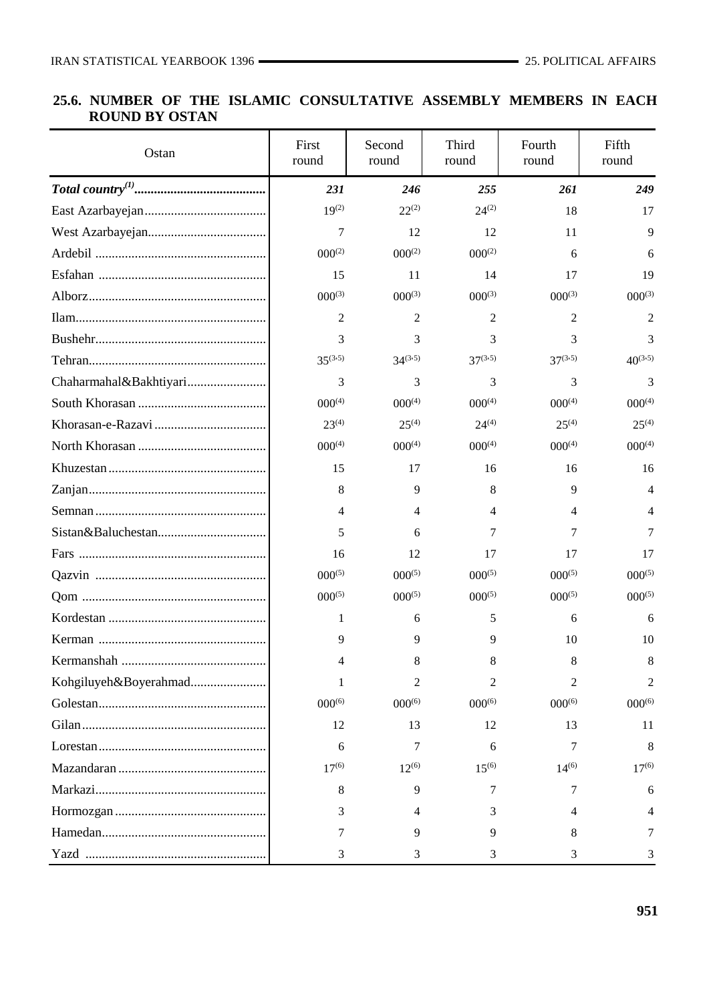## **25.6. NUMBER OF THE ISLAMIC CONSULTATIVE ASSEMBLY MEMBERS IN EACH ROUND BY OSTAN**

| Ostan                  | First<br>round | Second<br>round | Third<br>round | Fourth<br>round | Fifth<br>round |
|------------------------|----------------|-----------------|----------------|-----------------|----------------|
|                        | 231            | 246             | 255            | 261             | 249            |
|                        | $19^{(2)}$     | $22^{(2)}$      | $24^{(2)}$     | 18              | 17             |
|                        | 7              | 12              | 12             | 11              | 9              |
|                        | $000^{(2)}$    | $000^{(2)}$     | $000^{(2)}$    | 6               | 6              |
|                        | 15             | 11              | 14             | 17              | 19             |
|                        | $000^{(3)}$    | $000^{(3)}$     | $000^{(3)}$    | $000^{(3)}$     | $000^{(3)}$    |
|                        | 2              | 2               | 2              | 2               | 2              |
|                        | 3              | 3               | 3              | 3               | 3              |
|                        | $35^{(3.5)}$   | $34^{(3.5)}$    | $37^{(3.5)}$   | $37^{(3.5)}$    | $40^{(3.5)}$   |
| Chaharmahal&Bakhtiyari | 3              | 3               | 3              | 3               | 3              |
|                        | $000^{(4)}$    | $000^{(4)}$     | $000^{(4)}$    | $000^{(4)}$     | $000^{(4)}$    |
|                        | $23^{(4)}$     | $25^{(4)}$      | $24^{(4)}$     | $25^{(4)}$      | $25^{(4)}$     |
|                        | $000^{(4)}$    | $000^{(4)}$     | $000^{(4)}$    | $000^{(4)}$     | $000^{(4)}$    |
|                        | 15             | 17              | 16             | 16              | 16             |
|                        | 8              | 9               | 8              | 9               | 4              |
|                        | 4              | 4               | 4              | 4               | 4              |
|                        | 5              | 6               | 7              | 7               | 7              |
|                        | 16             | 12              | 17             | 17              | 17             |
|                        | $000^{(5)}$    | $000^{(5)}$     | $000^{(5)}$    | $000^{(5)}$     | $000^{(5)}$    |
|                        | $000^{(5)}$    | $000^{(5)}$     | $000^{(5)}$    | $000^{(5)}$     | $000^{(5)}$    |
|                        | 1              | 6               | 5              | 6               | 6              |
|                        | 9              | 9               | 9              | 10              | 10             |
| Kermanshah             | 4              | 8               | 8              | 8               | 8              |
| Kohgiluyeh&Boyerahmad  | 1              | 2               | 2              | 2               | 2              |
|                        | $000^{(6)}$    | $000^{(6)}$     | $000^{(6)}$    | $000^{(6)}$     | $000^{(6)}$    |
|                        | 12             | 13              | 12             | 13              | 11             |
|                        | 6              | 7               | 6              | 7               | 8              |
|                        | $17^{(6)}$     | $12^{(6)}$      | $15^{(6)}$     | $14^{(6)}$      | $17^{(6)}$     |
|                        | 8              | 9               | 7              | 7               | 6              |
|                        | 3              | 4               | 3              | 4               | 4              |
|                        | 7              | 9               | 9              | 8               | 7              |
|                        | 3              | 3               | 3              | 3               | 3              |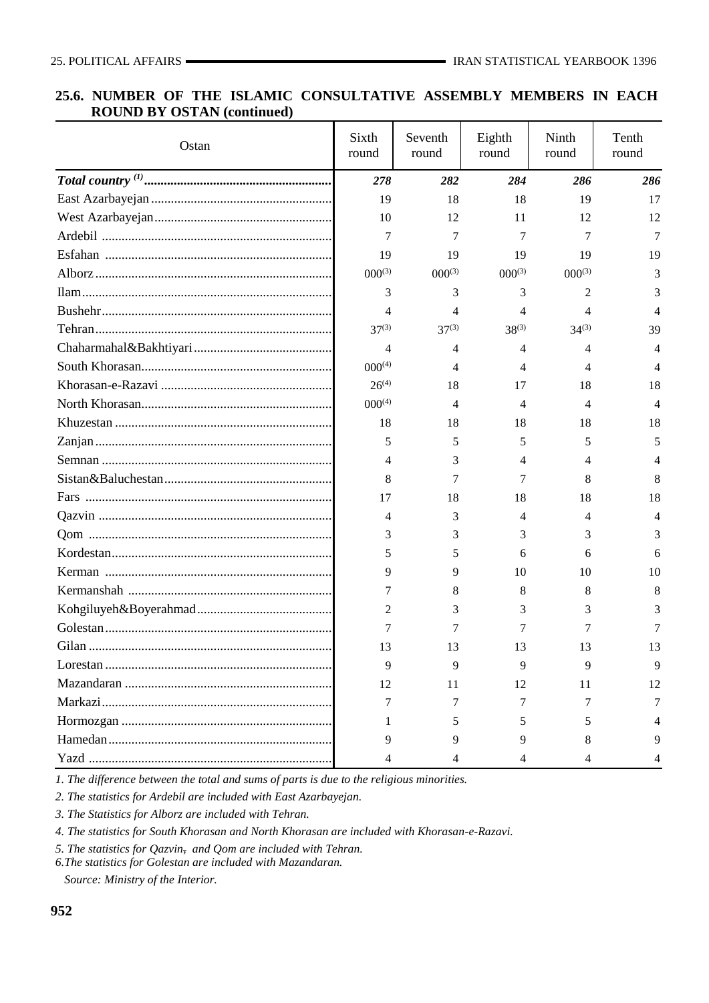#### **25.6. NUMBER OF THE ISLAMIC CONSULTATIVE ASSEMBLY MEMBERS IN EACH ROUND BY OSTAN (continued)**

| Ostan | Sixth<br>round | Seventh<br>round | Eighth<br>round | Ninth<br>round | Tenth<br>round |
|-------|----------------|------------------|-----------------|----------------|----------------|
|       | 278            | 282              | 284             | 286            | 286            |
|       | 19             | 18               | 18              | 19             | 17             |
|       | 10             | 12               | 11              | 12             | 12             |
|       | 7              | 7                | 7               | 7              | 7              |
|       | 19             | 19               | 19              | 19             | 19             |
|       | $000^{(3)}$    | $000^{(3)}$      | $000^{(3)}$     | $000^{(3)}$    | 3              |
|       | 3              | 3                | 3               | 2              | 3              |
|       | 4              | 4                | 4               | 4              |                |
|       | $37^{(3)}$     | $37^{(3)}$       | $38^{(3)}$      | $34^{(3)}$     | 39             |
|       | 4              | 4                | 4               | 4              | 4              |
|       | $000^{(4)}$    | 4                | 4               | 4              | 4              |
|       | $26^{(4)}$     | 18               | 17              | 18             | 18             |
|       | $000^{(4)}$    | 4                | 4               | 4              | 4              |
|       | 18             | 18               | 18              | 18             | 18             |
|       | 5              | 5                | 5               | 5              | 5              |
|       | 4              | 3                | 4               | 4              |                |
|       | 8              | 7                | 7               | 8              | 8              |
|       | 17             | 18               | 18              | 18             | 18             |
|       | 4              | 3                | 4               | 4              | 4              |
|       | 3              | 3                | 3               | 3              | 3              |
|       | 5              | 5                | 6               | 6              | 6              |
|       | 9              | 9                | 10              | 10             | 10             |
|       | 7              | 8                | 8               | 8              | 8              |
|       | 2              | 3                | 3               | 3              | 3              |
|       |                | 7                |                 |                |                |
|       | 13             | 13               | 13              | 13             | 13             |
|       | 9              | 9                | 9               | 9              | 9              |
|       | 12             | 11               | 12              | 11             | 12             |
|       | 7              | 7                | 7               | 7              | 7              |
|       |                | 5                | 5               | 5              |                |
|       | 9              | 9                | Q               | 8              |                |
|       | 4              |                  |                 | 4              |                |

*1. The difference between the total and sums of parts is due to the religious minorities.*

*2. The statistics for Ardebil are included with East Azarbayejan.*

*3. The Statistics for Alborz are included with Tehran.*

*4. The statistics for South Khorasan and North Khorasan are included with Khorasan-e-Razavi.*

*5. The statistics for Qazvin, and Qom are included with Tehran.*

*6.The statistics for Golestan are included with Mazandaran.*

 *Source: Ministry of the Interior.*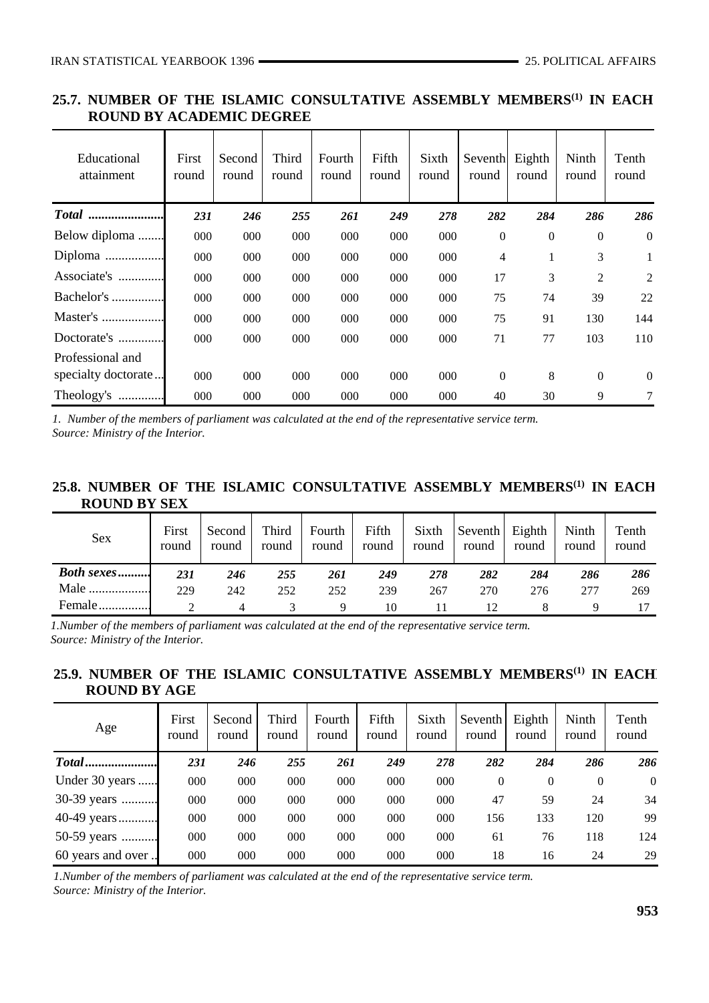## **25.7. NUMBER OF THE ISLAMIC CONSULTATIVE ASSEMBLY MEMBERS(1) IN EACH ROUND BY ACADEMIC DEGREE**

| Educational<br>attainment | First<br>round | Second<br>round | Third<br>round | Fourth<br>round | Fifth<br>round | Sixth<br>round | Seventh<br>round | Eighth<br>round | Ninth<br>round | Tenth<br>round |
|---------------------------|----------------|-----------------|----------------|-----------------|----------------|----------------|------------------|-----------------|----------------|----------------|
| Total                     | 231            | 246             | 255            | 261             | 249            | 278            | 282              | 284             | 286            | 286            |
| Below diploma             | 000            | 000             | 000            | 000             | 000            | 000            | $\mathbf{0}$     | $\theta$        | $\overline{0}$ | $\overline{0}$ |
| Diploma                   | 000            | 000             | 000            | 000             | 000            | 000            | $\overline{4}$   | 1               | 3              | 1              |
| Associate's               | 000            | 000             | 000            | 000             | 000            | 000            | 17               | 3               | 2              | 2              |
| Bachelor's                | 000            | 000             | 000            | 000             | 000            | 000            | 75               | 74              | 39             | 22             |
| Master's                  | 000            | 000             | 000            | 000             | 000            | 000            | 75               | 91              | 130            | 144            |
| Doctorate's               | 000            | 000             | 000            | 000             | 000            | 000            | 71               | 77              | 103            | 110            |
| Professional and          |                |                 |                |                 |                |                |                  |                 |                |                |
| specialty doctorate       | 000            | 000             | 000            | 000             | 000            | 000            | $\Omega$         | 8               | $\overline{0}$ | $\theta$       |
| Theology's                | 000            | 000             | 000            | 000             | 000            | 000            | 40               | 30              | 9              | $\tau$         |

*1. Number of the members of parliament was calculated at the end of the representative service term. Source: Ministry of the Interior.*

## **25.8. NUMBER OF THE ISLAMIC CONSULTATIVE ASSEMBLY MEMBERS(1) IN EACH ROUND BY SEX**

| Sex               | First<br>round | Second<br>round | Third<br>round | Fourth<br>round | Fifth<br>round | Sixth<br>round | Seventh Eighth<br>round | round | Ninth<br>round | Tenth<br>round |
|-------------------|----------------|-----------------|----------------|-----------------|----------------|----------------|-------------------------|-------|----------------|----------------|
| <b>Both sexes</b> |                |                 |                |                 |                |                |                         |       |                |                |
|                   | 231            | 246             | 255            | 261             | 249            | 278            | 282                     | 284   | 286            | 286            |
| Male              | 229            | 242             | 252            | 252             | 239            | 267            | 270                     | 276   | 277            | 269            |

*1.Number of the members of parliament was calculated at the end of the representative service term. Source: Ministry of the Interior.* 

## 25.9. NUMBER OF THE ISLAMIC CONSULTATIVE ASSEMBLY MEMBERS<sup>(1)</sup> IN EACH  **ROUND BY AGE**

| Age               | First<br>round | Second<br>round | Third<br>round | Fourth<br>round | Fifth<br>round | Sixth<br>round | Seventh  <br>round | Eighth<br>round | Ninth<br>round | Tenth<br>round |
|-------------------|----------------|-----------------|----------------|-----------------|----------------|----------------|--------------------|-----------------|----------------|----------------|
|                   | 231            | 246             | 255            | 261             | 249            | 278            | 282                | 284             | 286            | 286            |
| Under 30 years    | 000            | 000             | 000            | 000             | 000            | 000            | 0                  | $\Omega$        | $\theta$       | $\mathbf{0}$   |
| 30-39 years       | $000 \,$       | 000             | 000            | 000             | 000            | 000            | 47                 | 59              | 24             | 34             |
| 40-49 years       | 000            | 000             | 000            | 000             | 000            | 000            | 156                | 133             | 120            | 99             |
| 50-59 years       | 000            | 000             | 000            | 000             | 000            | 000            | 61                 | 76              | 118            | 124            |
| 60 years and over | $000 \,$       | 000             | 000            | 000             | 000            | 000            | 18                 | 16              | 24             | 29             |

*1.Number of the members of parliament was calculated at the end of the representative service term. Source: Ministry of the Interior.*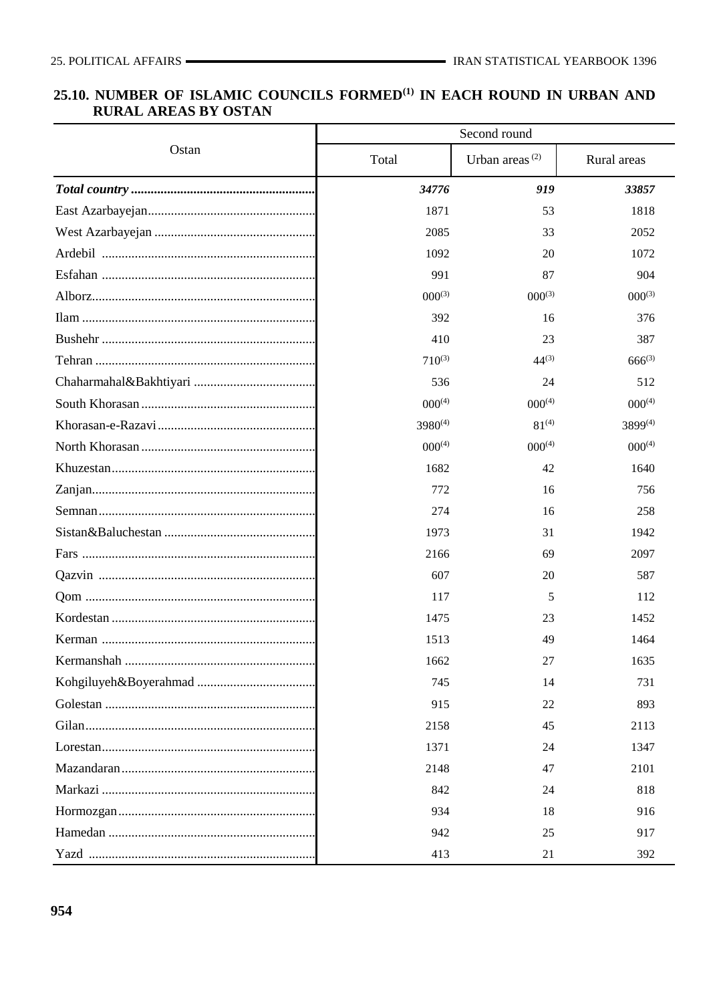# 25.10. NUMBER OF ISLAMIC COUNCILS FORMED<sup>(1)</sup> IN EACH ROUND IN URBAN AND **RURAL AREAS BY OSTAN**

|       | Second round |                            |              |  |  |  |  |
|-------|--------------|----------------------------|--------------|--|--|--|--|
| Ostan | Total        | Urban areas <sup>(2)</sup> | Rural areas  |  |  |  |  |
|       | 34776        | 919                        | 33857        |  |  |  |  |
|       | 1871         | 53                         | 1818         |  |  |  |  |
|       | 2085         | 33                         | 2052         |  |  |  |  |
|       | 1092         | 20                         | 1072         |  |  |  |  |
|       | 991          | 87                         | 904          |  |  |  |  |
|       | $000^{(3)}$  | $000^{(3)}$                | $000^{(3)}$  |  |  |  |  |
|       | 392          | 16                         | 376          |  |  |  |  |
|       | 410          | 23                         | 387          |  |  |  |  |
|       | $710^{(3)}$  | $44^{(3)}$                 | $666^{(3)}$  |  |  |  |  |
|       | 536          | 24                         | 512          |  |  |  |  |
|       | $000^{(4)}$  | $000^{(4)}$                | $000^{(4)}$  |  |  |  |  |
|       | $3980^{(4)}$ | $81^{(4)}$                 | $3899^{(4)}$ |  |  |  |  |
|       | $000^{(4)}$  | $000^{(4)}$                | $000^{(4)}$  |  |  |  |  |
|       | 1682         | 42                         | 1640         |  |  |  |  |
|       | 772          | 16                         | 756          |  |  |  |  |
|       | 274          | 16                         | 258          |  |  |  |  |
|       | 1973         | 31                         | 1942         |  |  |  |  |
|       | 2166         | 69                         | 2097         |  |  |  |  |
|       | 607          | 20                         | 587          |  |  |  |  |
|       | 117          | 5                          | 112          |  |  |  |  |
|       | 1475         | 23                         | 1452         |  |  |  |  |
|       | 1513         | 49                         | 1464         |  |  |  |  |
|       | 1662         | 27                         | 1635         |  |  |  |  |
|       | 745          | 14                         | 731          |  |  |  |  |
|       | 915          | 22                         | 893          |  |  |  |  |
|       | 2158         | 45                         | 2113         |  |  |  |  |
|       | 1371         | 24                         | 1347         |  |  |  |  |
|       | 2148         | 47                         | 2101         |  |  |  |  |
|       | 842          | 24                         | 818          |  |  |  |  |
|       | 934          | 18                         | 916          |  |  |  |  |
|       | 942          | 25                         | 917          |  |  |  |  |
|       | 413          | 21                         | 392          |  |  |  |  |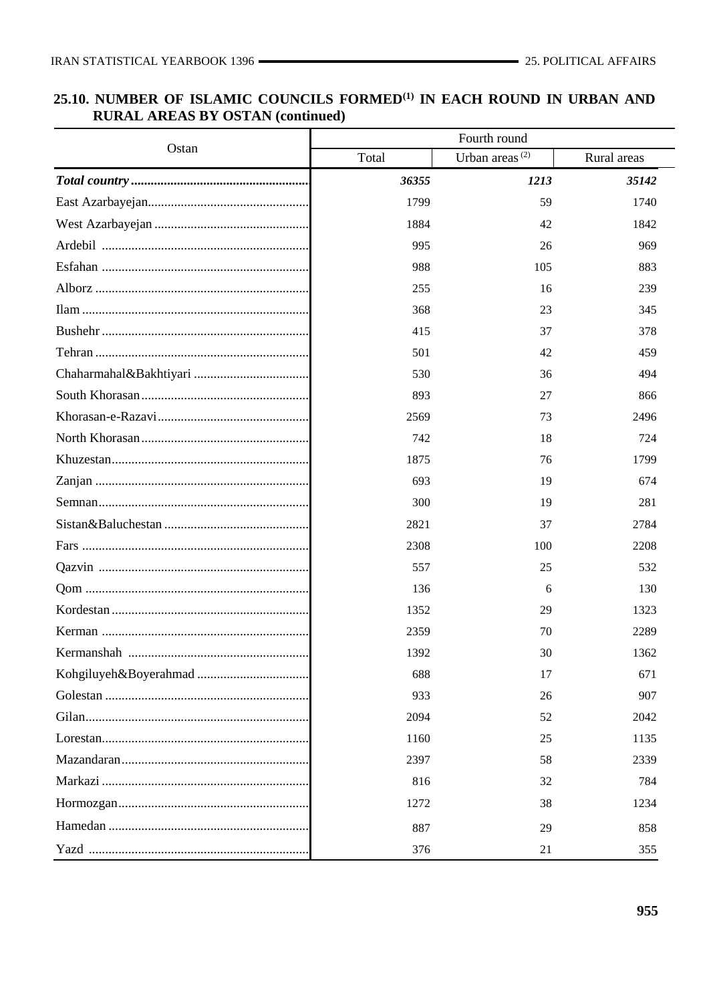# 25.10. NUMBER OF ISLAMIC COUNCILS FORMED<sup>(1)</sup> IN EACH ROUND IN URBAN AND **RURAL AREAS BY OSTAN (continued)**

| Ostan | Fourth round |                            |             |  |  |  |  |
|-------|--------------|----------------------------|-------------|--|--|--|--|
|       | Total        | Urban areas <sup>(2)</sup> | Rural areas |  |  |  |  |
|       | 36355        | 1213                       | 35142       |  |  |  |  |
|       | 1799         | 59                         | 1740        |  |  |  |  |
|       | 1884         | 42                         | 1842        |  |  |  |  |
|       | 995          | 26                         | 969         |  |  |  |  |
|       | 988          | 105                        | 883         |  |  |  |  |
|       | 255          | 16                         | 239         |  |  |  |  |
|       | 368          | 23                         | 345         |  |  |  |  |
|       | 415          | 37                         | 378         |  |  |  |  |
|       | 501          | 42                         | 459         |  |  |  |  |
|       | 530          | 36                         | 494         |  |  |  |  |
|       | 893          | 27                         | 866         |  |  |  |  |
|       | 2569         | 73                         | 2496        |  |  |  |  |
|       | 742          | 18                         | 724         |  |  |  |  |
|       | 1875         | 76                         | 1799        |  |  |  |  |
|       | 693          | 19                         | 674         |  |  |  |  |
|       | 300          | 19                         | 281         |  |  |  |  |
|       | 2821         | 37                         | 2784        |  |  |  |  |
|       | 2308         | 100                        | 2208        |  |  |  |  |
|       | 557          | 25                         | 532         |  |  |  |  |
|       | 136          | 6                          | 130         |  |  |  |  |
|       | 1352         | 29                         | 1323        |  |  |  |  |
|       | 2359         | 70                         | 2289        |  |  |  |  |
|       | 1392         | 30                         | 1362        |  |  |  |  |
|       | 688          | 17                         | 671         |  |  |  |  |
|       | 933          | 26                         | 907         |  |  |  |  |
|       | 2094         | 52                         | 2042        |  |  |  |  |
|       | 1160         | 25                         | 1135        |  |  |  |  |
|       | 2397         | 58                         | 2339        |  |  |  |  |
|       | 816          | 32                         | 784         |  |  |  |  |
|       | 1272         | 38                         | 1234        |  |  |  |  |
|       | 887          | 29                         | 858         |  |  |  |  |
|       | 376          | 21                         | 355         |  |  |  |  |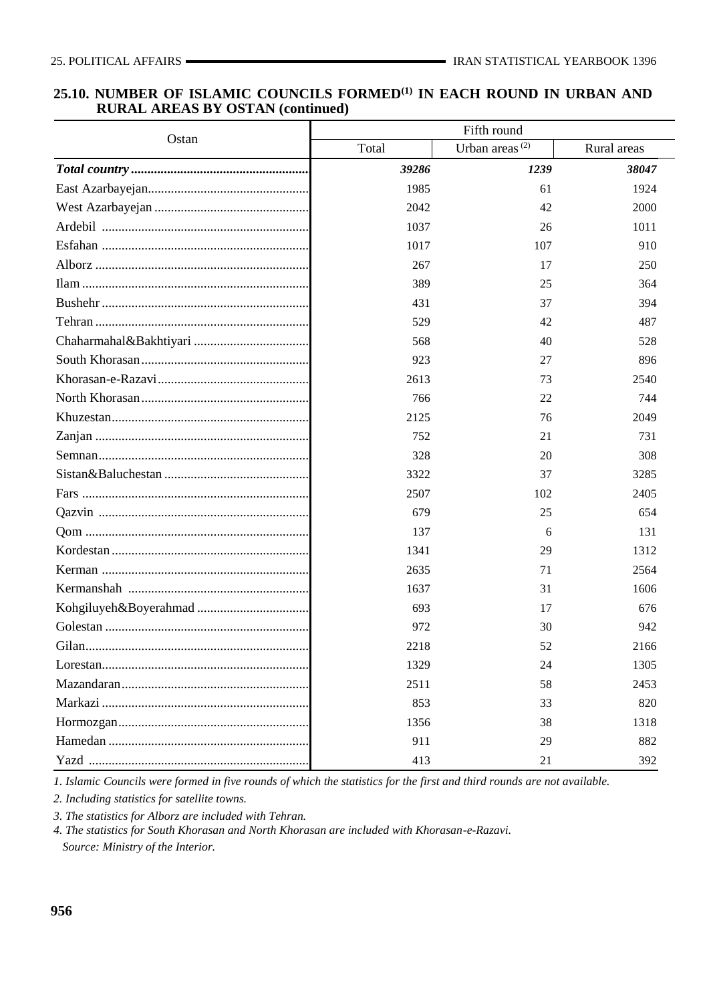#### **25.10. NUMBER OF ISLAMIC COUNCILS FORMED(1) IN EACH ROUND IN URBAN AND RURAL AREAS BY OSTAN (continued)**

| Ostan | Fifth round |                            |             |  |  |  |
|-------|-------------|----------------------------|-------------|--|--|--|
|       | Total       | Urban areas <sup>(2)</sup> | Rural areas |  |  |  |
|       | 39286       | 1239                       | 38047       |  |  |  |
|       | 1985        | 61                         | 1924        |  |  |  |
|       | 2042        | 42                         | 2000        |  |  |  |
|       | 1037        | 26                         | 1011        |  |  |  |
|       | 1017        | 107                        | 910         |  |  |  |
|       | 267         | 17                         | 250         |  |  |  |
|       | 389         | 25                         | 364         |  |  |  |
|       | 431         | 37                         | 394         |  |  |  |
|       | 529         | 42                         | 487         |  |  |  |
|       | 568         | 40                         | 528         |  |  |  |
|       | 923         | 27                         | 896         |  |  |  |
|       | 2613        | 73                         | 2540        |  |  |  |
|       | 766         | 22                         | 744         |  |  |  |
|       | 2125        | 76                         | 2049        |  |  |  |
|       | 752         | 21                         | 731         |  |  |  |
|       | 328         | 20                         | 308         |  |  |  |
|       | 3322        | 37                         | 3285        |  |  |  |
|       | 2507        | 102                        | 2405        |  |  |  |
|       | 679         | 25                         | 654         |  |  |  |
|       | 137         | 6                          | 131         |  |  |  |
|       | 1341        | 29                         | 1312        |  |  |  |
|       | 2635        | 71                         | 2564        |  |  |  |
|       | 1637        | 31                         | 1606        |  |  |  |
|       | 693         | 17                         | 676         |  |  |  |
|       | 972         | 30                         | 942         |  |  |  |
|       | 2218        | 52                         | 2166        |  |  |  |
|       | 1329        | 24                         | 1305        |  |  |  |
|       | 2511        | 58                         | 2453        |  |  |  |
|       | 853         | 33                         | 820         |  |  |  |
|       | 1356        | 38                         | 1318        |  |  |  |
|       | 911         | 29                         | 882         |  |  |  |
|       | 413         | 21                         | 392         |  |  |  |

*1. Islamic Councils were formed in five rounds of which the statistics for the first and third rounds are not available.*

*2. Including statistics for satellite towns.* 

*3. The statistics for Alborz are included with Tehran.*

*4. The statistics for South Khorasan and North Khorasan are included with Khorasan-e-Razavi.*

 *Source: Ministry of the Interior.*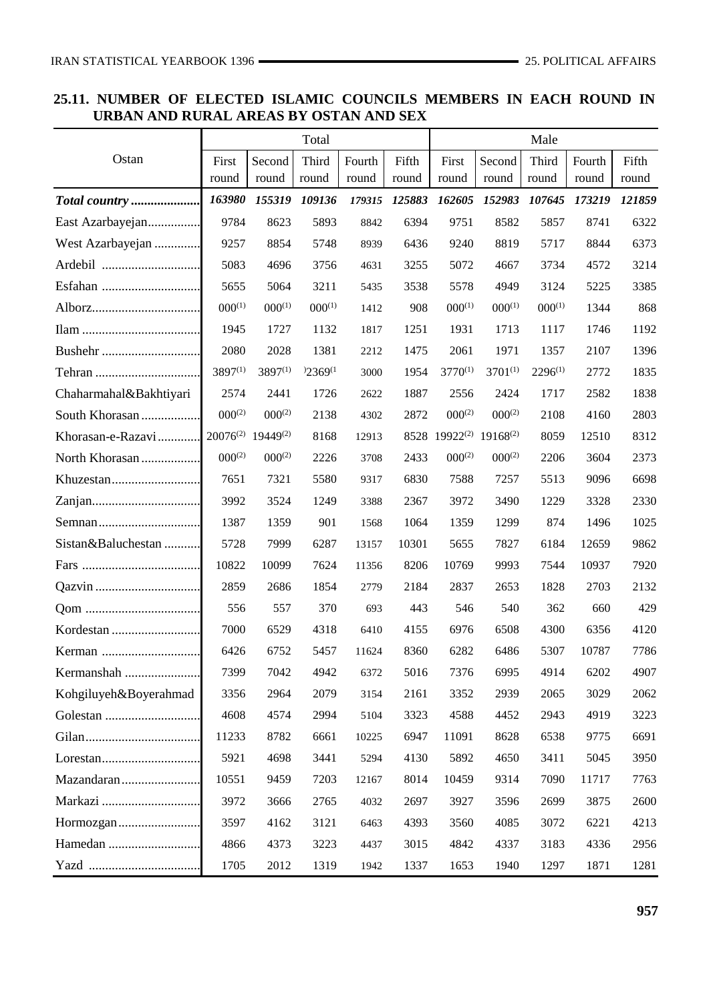## **25.11. NUMBER OF ELECTED ISLAMIC COUNCILS MEMBERS IN EACH ROUND IN URBAN AND RURAL AREAS BY OSTAN AND SEX**

|                        |              |                                           | Total        |        |        |                                                |              | Male         |        |        |
|------------------------|--------------|-------------------------------------------|--------------|--------|--------|------------------------------------------------|--------------|--------------|--------|--------|
| Ostan                  | First        | Second                                    | Third        | Fourth | Fifth  | First                                          | Second       | Third        | Fourth | Fifth  |
|                        | round        | round                                     | round        | round  | round  | round                                          | round        | round        | round  | round  |
| Total country          | 163980       | 155319                                    | 109136       | 179315 | 125883 | 162605                                         | 152983       | 107645       | 173219 | 121859 |
| East Azarbayejan       | 9784         | 8623                                      | 5893         | 8842   | 6394   | 9751                                           | 8582         | 5857         | 8741   | 6322   |
| West Azarbayejan       | 9257         | 8854                                      | 5748         | 8939   | 6436   | 9240                                           | 8819         | 5717         | 8844   | 6373   |
|                        | 5083         | 4696                                      | 3756         | 4631   | 3255   | 5072                                           | 4667         | 3734         | 4572   | 3214   |
|                        | 5655         | 5064                                      | 3211         | 5435   | 3538   | 5578                                           | 4949         | 3124         | 5225   | 3385   |
|                        | $000^{(1)}$  | $000^{(1)}$                               | $000^{(1)}$  | 1412   | 908    | $000^{(1)}$                                    | $000^{(1)}$  | $000^{(1)}$  | 1344   | 868    |
|                        | 1945         | 1727                                      | 1132         | 1817   | 1251   | 1931                                           | 1713         | 1117         | 1746   | 1192   |
|                        | 2080         | 2028                                      | 1381         | 2212   | 1475   | 2061                                           | 1971         | 1357         | 2107   | 1396   |
|                        | $3897^{(1)}$ | $3897^{(1)}$                              | $2369^{(1)}$ | 3000   | 1954   | $3770^{(1)}$                                   | $3701^{(1)}$ | $2296^{(1)}$ | 2772   | 1835   |
| Chaharmahal&Bakhtiyari | 2574         | 2441                                      | 1726         | 2622   | 1887   | 2556                                           | 2424         | 1717         | 2582   | 1838   |
| South Khorasan         | $000^{(2)}$  | $000^{(2)}$                               | 2138         | 4302   | 2872   | $000^{(2)}$                                    | $000^{(2)}$  | 2108         | 4160   | 2803   |
| Khorasan-e-Razavi      |              | 20076 <sup>(2)</sup> 19449 <sup>(2)</sup> | 8168         | 12913  |        | 8528 19922 <sup>(2)</sup> 19168 <sup>(2)</sup> |              | 8059         | 12510  | 8312   |
| North Khorasan         | $000^{(2)}$  | $000^{(2)}$                               | 2226         | 3708   | 2433   | $000^{(2)}$                                    | $000^{(2)}$  | 2206         | 3604   | 2373   |
|                        | 7651         | 7321                                      | 5580         | 9317   | 6830   | 7588                                           | 7257         | 5513         | 9096   | 6698   |
|                        | 3992         | 3524                                      | 1249         | 3388   | 2367   | 3972                                           | 3490         | 1229         | 3328   | 2330   |
|                        | 1387         | 1359                                      | 901          | 1568   | 1064   | 1359                                           | 1299         | 874          | 1496   | 1025   |
| Sistan&Baluchestan     | 5728         | 7999                                      | 6287         | 13157  | 10301  | 5655                                           | 7827         | 6184         | 12659  | 9862   |
|                        | 10822        | 10099                                     | 7624         | 11356  | 8206   | 10769                                          | 9993         | 7544         | 10937  | 7920   |
|                        | 2859         | 2686                                      | 1854         | 2779   | 2184   | 2837                                           | 2653         | 1828         | 2703   | 2132   |
|                        | 556          | 557                                       | 370          | 693    | 443    | 546                                            | 540          | 362          | 660    | 429    |
|                        | 7000         | 6529                                      | 4318         | 6410   | 4155   | 6976                                           | 6508         | 4300         | 6356   | 4120   |
|                        | 6426         | 6752                                      | 5457         | 11624  | 8360   | 6282                                           | 6486         | 5307         | 10787  | 7786   |
| Kermanshah             | 7399         | 7042                                      | 4942         | 6372   | 5016   | 7376                                           | 6995         | 4914         | 6202   | 4907   |
| Kohgiluyeh&Boyerahmad  | 3356         | 2964                                      | 2079         | 3154   | 2161   | 3352                                           | 2939         | 2065         | 3029   | 2062   |
|                        | 4608         | 4574                                      | 2994         | 5104   | 3323   | 4588                                           | 4452         | 2943         | 4919   | 3223   |
|                        | 11233        | 8782                                      | 6661         | 10225  | 6947   | 11091                                          | 8628         | 6538         | 9775   | 6691   |
|                        | 5921         | 4698                                      | 3441         | 5294   | 4130   | 5892                                           | 4650         | 3411         | 5045   | 3950   |
| Mazandaran             | 10551        | 9459                                      | 7203         | 12167  | 8014   | 10459                                          | 9314         | 7090         | 11717  | 7763   |
| Markazi                | 3972         | 3666                                      | 2765         | 4032   | 2697   | 3927                                           | 3596         | 2699         | 3875   | 2600   |
|                        | 3597         | 4162                                      | 3121         | 6463   | 4393   | 3560                                           | 4085         | 3072         | 6221   | 4213   |
|                        | 4866         | 4373                                      | 3223         | 4437   | 3015   | 4842                                           | 4337         | 3183         | 4336   | 2956   |
|                        | 1705         | 2012                                      | 1319         | 1942   | 1337   | 1653                                           | 1940         | 1297         | 1871   | 1281   |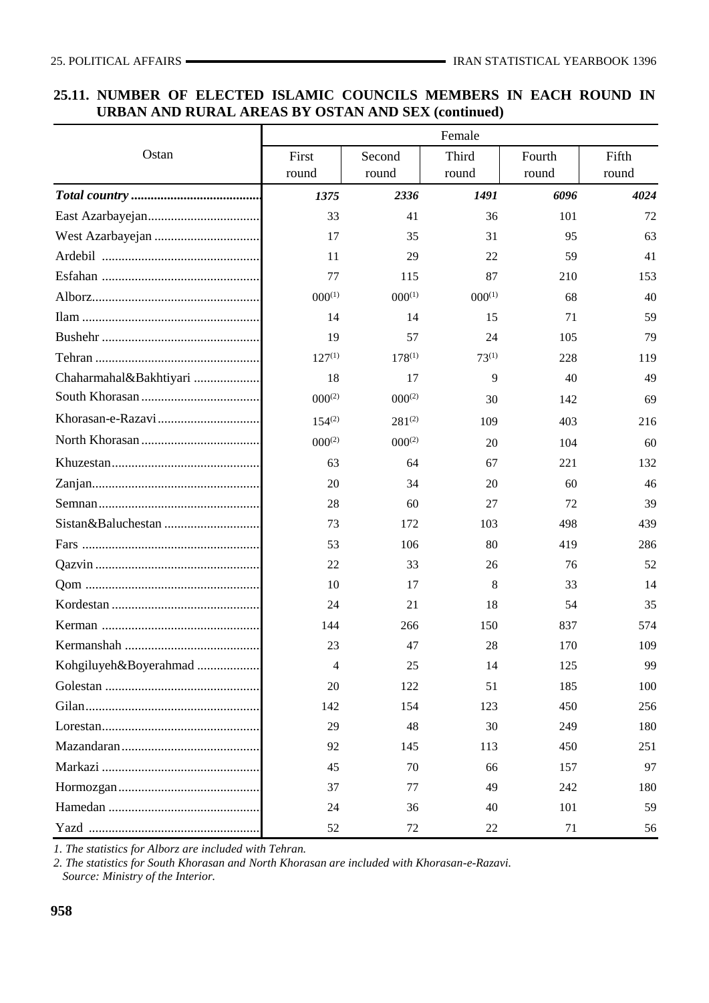## **25.11. NUMBER OF ELECTED ISLAMIC COUNCILS MEMBERS IN EACH ROUND IN URBAN AND RURAL AREAS BY OSTAN AND SEX (continued)**

|                        | Female      |             |             |        |       |  |  |  |  |  |
|------------------------|-------------|-------------|-------------|--------|-------|--|--|--|--|--|
| Ostan                  | First       | Second      | Third       | Fourth | Fifth |  |  |  |  |  |
|                        | round       | round       | round       | round  | round |  |  |  |  |  |
|                        | 1375        | 2336        | 1491        | 6096   | 4024  |  |  |  |  |  |
|                        | 33          | 41          | 36          | 101    | 72    |  |  |  |  |  |
|                        | 17          | 35          | 31          | 95     | 63    |  |  |  |  |  |
|                        | 11          | 29          | 22          | 59     | 41    |  |  |  |  |  |
|                        | 77          | 115         | 87          | 210    | 153   |  |  |  |  |  |
|                        | $000^{(1)}$ | $000^{(1)}$ | $000^{(1)}$ | 68     | 40    |  |  |  |  |  |
|                        | 14          | 14          | 15          | 71     | 59    |  |  |  |  |  |
|                        | 19          | 57          | 24          | 105    | 79    |  |  |  |  |  |
|                        | $127^{(1)}$ | $178^{(1)}$ | $73^{(1)}$  | 228    | 119   |  |  |  |  |  |
| Chaharmahal&Bakhtiyari | 18          | 17          | 9           | 40     | 49    |  |  |  |  |  |
|                        | $000^{(2)}$ | $000^{(2)}$ | 30          | 142    | 69    |  |  |  |  |  |
|                        | $154^{(2)}$ | $281^{(2)}$ | 109         | 403    | 216   |  |  |  |  |  |
|                        | $000^{(2)}$ | $000^{(2)}$ | 20          | 104    | 60    |  |  |  |  |  |
|                        | 63          | 64          | 67          | 221    | 132   |  |  |  |  |  |
|                        | 20          | 34          | 20          | 60     | 46    |  |  |  |  |  |
|                        | 28          | 60          | 27          | 72     | 39    |  |  |  |  |  |
|                        | 73          | 172         | 103         | 498    | 439   |  |  |  |  |  |
|                        | 53          | 106         | 80          | 419    | 286   |  |  |  |  |  |
|                        | 22          | 33          | 26          | 76     | 52    |  |  |  |  |  |
|                        | 10          | 17          | 8           | 33     | 14    |  |  |  |  |  |
|                        | 24          | 21          | 18          | 54     | 35    |  |  |  |  |  |
|                        | 144         | 266         | 150         | 837    | 574   |  |  |  |  |  |
|                        | 23          | 47          | 28          | 170    | 109   |  |  |  |  |  |
| Kohgiluyeh&Boyerahmad  | 4           | 25          | 14          | 125    | 99    |  |  |  |  |  |
|                        | 20          | 122         | 51          | 185    | 100   |  |  |  |  |  |
|                        | 142         | 154         | 123         | 450    | 256   |  |  |  |  |  |
|                        | 29          | 48          | 30          | 249    | 180   |  |  |  |  |  |
|                        | 92          | 145         | 113         | 450    | 251   |  |  |  |  |  |
|                        | 45          | 70          | 66          | 157    | 97    |  |  |  |  |  |
|                        | 37          | 77          | 49          | 242    | 180   |  |  |  |  |  |
|                        | 24          | 36          | 40          | 101    | 59    |  |  |  |  |  |
|                        | 52          | 72          | 22          | 71     | 56    |  |  |  |  |  |

*1. The statistics for Alborz are included with Tehran.*

*2. The statistics for South Khorasan and North Khorasan are included with Khorasan-e-Razavi.*

 *Source: Ministry of the Interior.*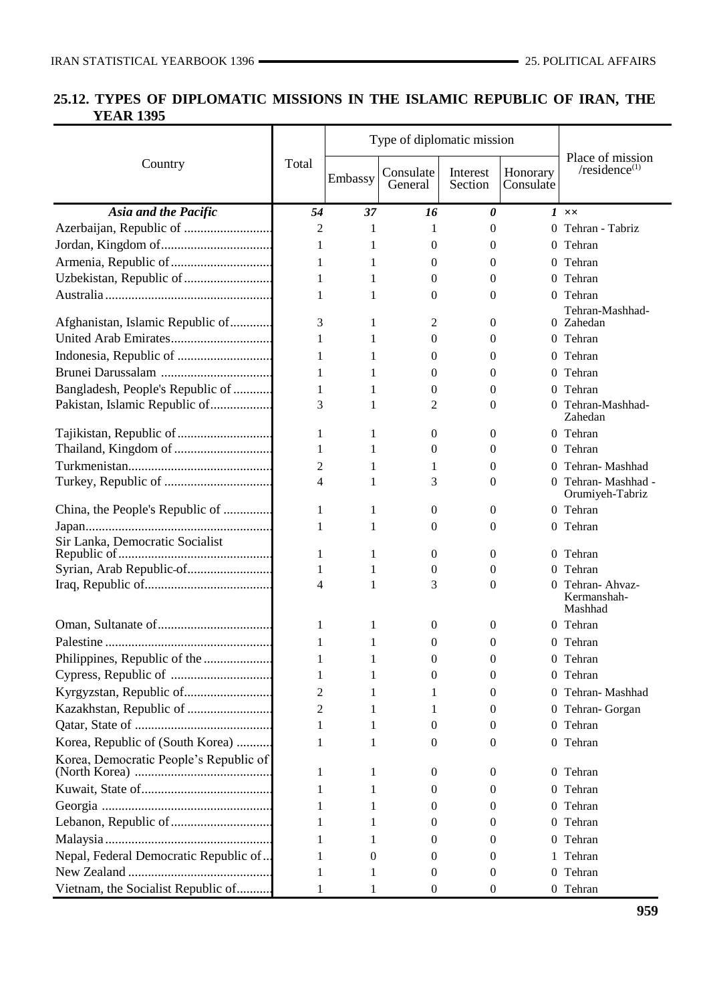## **25.12. TYPES OF DIPLOMATIC MISSIONS IN THE ISLAMIC REPUBLIC OF IRAN, THE YEAR 1395**

|                                        |                |          | Type of diplomatic mission |                       |                       |                                          |
|----------------------------------------|----------------|----------|----------------------------|-----------------------|-----------------------|------------------------------------------|
| Country                                | Total          | Embassy  | Consulate<br>General       | Interest<br>Section   | Honorary<br>Consulate | Place of mission<br>/ $residence(1)$     |
| Asia and the Pacific                   | 54             | 37       | 16                         | $\boldsymbol{\theta}$ |                       | $1 \times$                               |
|                                        | 2              | 1        | 1                          | $\Omega$              |                       | 0 Tehran - Tabriz                        |
|                                        | 1              | 1        | 0                          | 0                     | 0                     | Tehran                                   |
|                                        | 1              | 1        | 0                          | $\mathbf{0}$          |                       | 0 Tehran                                 |
|                                        | 1              | 1        | 0                          | $\theta$              |                       | 0 Tehran                                 |
|                                        | 1              | 1        | 0                          | $\theta$              |                       | 0 Tehran                                 |
|                                        |                |          |                            |                       |                       | Tehran-Mashhad-                          |
| Afghanistan, Islamic Republic of       | 3              | 1        | 2                          | $\theta$              |                       | 0 Zahedan                                |
|                                        | 1              | 1        | 0                          | 0                     |                       | 0 Tehran                                 |
|                                        | 1              | 1        | 0                          | 0                     |                       | 0 Tehran                                 |
|                                        | 1              | 1        | 0                          | $\theta$              |                       | 0 Tehran                                 |
| Bangladesh, People's Republic of       | 1              | 1        | 0                          | $\theta$              | $\Omega$              | Tehran                                   |
| Pakistan, Islamic Republic of          | 3              | 1        | 2                          | $\theta$              | $^{(1)}$              | Tehran-Mashhad-<br>Zahedan               |
|                                        | 1              | 1        | 0                          | $\boldsymbol{0}$      |                       | 0 Tehran                                 |
|                                        | 1              | 1        | 0                          | $\theta$              | $^{(1)}$              | Tehran                                   |
|                                        | 2              | 1        | 1                          | 0                     | $\Omega$              | Tehran-Mashhad                           |
|                                        | 4              | 1        | 3                          | $\theta$              |                       | 0 Tehran-Mashhad -<br>Orumiyeh-Tabriz    |
| China, the People's Republic of        | 1              | 1        | 0                          | $\theta$              |                       | 0 Tehran                                 |
|                                        | 1              | 1        | 0                          | $\theta$              |                       | 0 Tehran                                 |
| Sir Lanka, Democratic Socialist        | 1              | 1        | 0                          | $\boldsymbol{0}$      |                       | 0 Tehran                                 |
|                                        | 1              | 1        | 0                          | 0                     | $\Omega$              | Tehran                                   |
|                                        | $\overline{4}$ | 1        | 3                          | $\Omega$              | 0                     | Tehran- Ahvaz-<br>Kermanshah-<br>Mashhad |
|                                        | 1              | 1        | 0                          | $\theta$              |                       | 0 Tehran                                 |
|                                        | 1              | 1        | 0                          | 0                     |                       | 0 Tehran                                 |
| Philippines, Republic of the           |                |          | $\Omega$                   | $\overline{0}$        |                       | 0 Tehran                                 |
|                                        | 1              | 1        | 0                          | 0                     |                       | 0 Tehran                                 |
|                                        | 2              | 1        | 1                          | $\theta$              |                       | 0 Tehran-Mashhad                         |
|                                        | 2              | 1        |                            | $\theta$              |                       | 0 Tehran-Gorgan                          |
|                                        | 1              | 1        | 0                          | 0                     |                       | 0 Tehran                                 |
| Korea, Republic of (South Korea)       | 1              | 1        | $\Omega$                   | $\Omega$              |                       | 0 Tehran                                 |
| Korea, Democratic People's Republic of |                |          |                            |                       |                       |                                          |
|                                        | 1              | 1        | 0                          | $\theta$              |                       | 0 Tehran                                 |
|                                        |                |          | 0                          | 0                     | 0                     | Tehran                                   |
|                                        |                |          | 0                          | $\theta$              |                       | 0 Tehran                                 |
|                                        |                |          | 0                          | $\theta$              |                       | 0 Tehran                                 |
|                                        |                |          | 0                          | 0                     | 0                     | Tehran                                   |
| Nepal, Federal Democratic Republic of  | 1              | $\theta$ | 0                          | $\theta$              |                       | Tehran                                   |
|                                        | 1              | 1        | 0                          | $\theta$              |                       | 0 Tehran                                 |
| Vietnam, the Socialist Republic of     | 1              | 1        | 0                          | 0                     |                       | 0 Tehran                                 |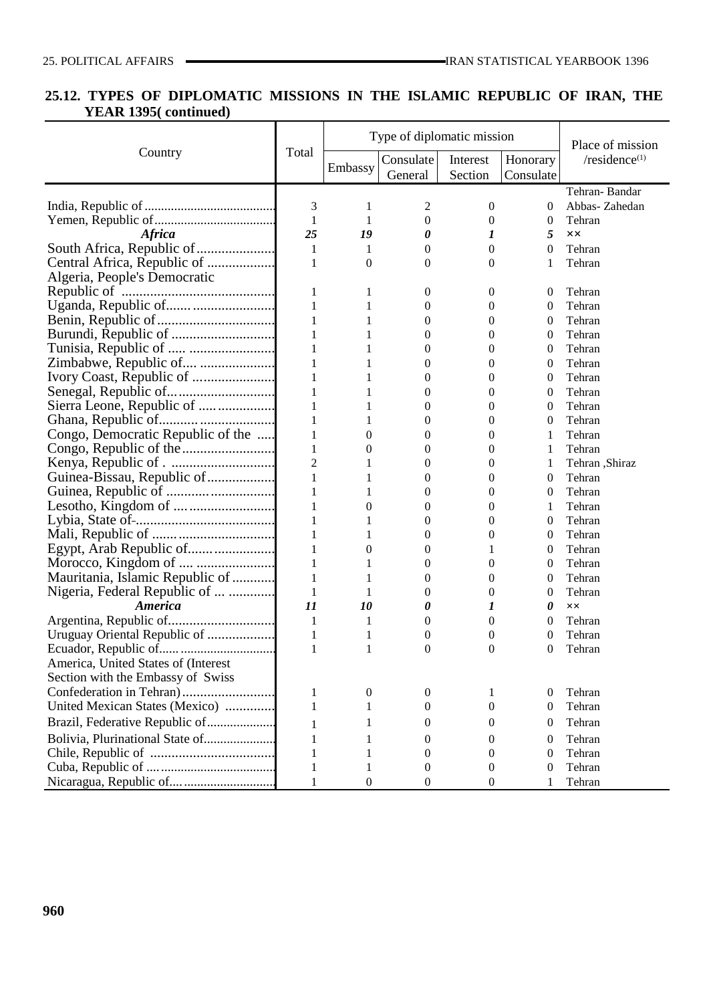## **25.12. TYPES OF DIPLOMATIC MISSIONS IN THE ISLAMIC REPUBLIC OF IRAN, THE YEAR 1395( continued)**

|                                                                                                                                                                                                                                          |                |                  | Type of diplomatic mission | Place of mission |                  |                  |
|------------------------------------------------------------------------------------------------------------------------------------------------------------------------------------------------------------------------------------------|----------------|------------------|----------------------------|------------------|------------------|------------------|
| Country                                                                                                                                                                                                                                  | Total          | Embassy          | Consulate                  | Interest         | Honorary         | / $residence(1)$ |
|                                                                                                                                                                                                                                          |                |                  | General                    | Section          | Consulate        |                  |
|                                                                                                                                                                                                                                          |                |                  |                            |                  |                  | Tehran-Bandar    |
|                                                                                                                                                                                                                                          | $\mathfrak{Z}$ | 1                | 2                          | $\boldsymbol{0}$ | $\theta$         | Abbas-Zahedan    |
|                                                                                                                                                                                                                                          | $\mathbf{1}$   | 1                | $\boldsymbol{0}$           | $\boldsymbol{0}$ | $\boldsymbol{0}$ | Tehran           |
| <b>Africa</b>                                                                                                                                                                                                                            | 25             | 19               | 0                          | 1                | 5                | XX               |
| South Africa, Republic of                                                                                                                                                                                                                | $\mathbf{1}$   | 1                | $\boldsymbol{0}$           | $\boldsymbol{0}$ | $\boldsymbol{0}$ | Tehran           |
| Central Africa, Republic of                                                                                                                                                                                                              | $\,1\,$        | $\boldsymbol{0}$ | 0                          | $\overline{0}$   | 1                | Tehran           |
| Algeria, People's Democratic                                                                                                                                                                                                             |                |                  |                            |                  |                  |                  |
| Republic of<br>Uganda, Republic of<br>Benin, Republic of<br>Burundi, Republic of<br>Traisis Republic of<br>Traisis Republic of<br>Traisis Republic of<br>Traisis Republic of<br>Traisis Republic of<br>Traisis Republic of<br>Traisis Re | $\mathbf{1}$   | 1                | $\boldsymbol{0}$           | 0                | 0                | Tehran           |
|                                                                                                                                                                                                                                          | $\,1\,$        | 1                | $\boldsymbol{0}$           | 0                | $\boldsymbol{0}$ | Tehran           |
|                                                                                                                                                                                                                                          | $\mathbf{1}$   | 1                | 0                          | 0                | $\boldsymbol{0}$ | Tehran           |
|                                                                                                                                                                                                                                          | $\,1\,$        |                  | 0                          | 0                | $\boldsymbol{0}$ | Tehran           |
|                                                                                                                                                                                                                                          | $\,1\,$        |                  | 0                          | 0                | $\boldsymbol{0}$ | Tehran           |
| Zimbabwe, Republic of                                                                                                                                                                                                                    | $\,1\,$        |                  | 0                          | $\boldsymbol{0}$ | $\boldsymbol{0}$ | Tehran           |
|                                                                                                                                                                                                                                          | $\,1\,$        |                  | 0                          | 0                | $\boldsymbol{0}$ | Tehran           |
|                                                                                                                                                                                                                                          | $\,1\,$        |                  | 0                          | 0                | $\boldsymbol{0}$ | Tehran           |
|                                                                                                                                                                                                                                          | $\,1\,$        |                  | 0                          | $\boldsymbol{0}$ | $\boldsymbol{0}$ | Tehran           |
|                                                                                                                                                                                                                                          | $\,1\,$        |                  | 0                          | 0                | $\boldsymbol{0}$ | Tehran           |
|                                                                                                                                                                                                                                          | $\mathbf{1}$   | 0                | 0                          | 0                | 1                | Tehran           |
|                                                                                                                                                                                                                                          | $\,1\,$        | 0                | 0                          | $\boldsymbol{0}$ | 1                | Tehran           |
|                                                                                                                                                                                                                                          | $\overline{2}$ | 1                | 0                          | $\boldsymbol{0}$ | 1                | Tehran ,Shiraz   |
|                                                                                                                                                                                                                                          | $\,1\,$        |                  | 0                          | 0                | $\boldsymbol{0}$ | Tehran           |
|                                                                                                                                                                                                                                          | $\,1\,$        |                  | 0                          | $\boldsymbol{0}$ | $\boldsymbol{0}$ | Tehran           |
|                                                                                                                                                                                                                                          | $\,1\,$        | 0                | 0                          | $\boldsymbol{0}$ | 1                | Tehran           |
|                                                                                                                                                                                                                                          | $\,1\,$        |                  | 0                          | 0                | $\boldsymbol{0}$ | Tehran           |
|                                                                                                                                                                                                                                          | $\,1\,$        |                  | 0                          | $\boldsymbol{0}$ | $\boldsymbol{0}$ | Tehran           |
| Egypt, Arab Republic of                                                                                                                                                                                                                  | $\,1\,$        | 0                | 0                          | 1                | $\boldsymbol{0}$ | Tehran           |
|                                                                                                                                                                                                                                          | $\,1\,$        | 1                | 0                          | $\boldsymbol{0}$ | $\boldsymbol{0}$ | Tehran           |
|                                                                                                                                                                                                                                          | $\,1\,$        | 1                | 0                          | $\boldsymbol{0}$ | $\boldsymbol{0}$ | Tehran           |
| Nigeria, Federal Republic of                                                                                                                                                                                                             | $\mathbf{1}$   | 1                | 0                          | $\boldsymbol{0}$ | $\boldsymbol{0}$ | Tehran           |
| <b>America</b>                                                                                                                                                                                                                           | 11             | 10               | 0                          | 1                | 0                | $\times\times$   |
|                                                                                                                                                                                                                                          | $\mathbf{1}$   | 1                | $\boldsymbol{0}$           | $\boldsymbol{0}$ | $\boldsymbol{0}$ | Tehran           |
|                                                                                                                                                                                                                                          | $\mathbf{1}$   |                  | $\boldsymbol{0}$           | $\boldsymbol{0}$ | $\boldsymbol{0}$ | Tehran           |
|                                                                                                                                                                                                                                          | $\mathbf{1}$   | 1                | 0                          | $\overline{0}$   | $\theta$         | Tehran           |
| America, United States of (Interest                                                                                                                                                                                                      |                |                  |                            |                  |                  |                  |
| Section with the Embassy of Swiss                                                                                                                                                                                                        |                |                  |                            |                  |                  |                  |
|                                                                                                                                                                                                                                          | 1              | $\boldsymbol{0}$ | $\boldsymbol{0}$           | 1                | $\boldsymbol{0}$ | Tehran           |
| United Mexican States (Mexico)                                                                                                                                                                                                           | 1              | 1                | 0                          | $\mathbf{0}$     | $\boldsymbol{0}$ | Tehran           |
| Brazil, Federative Republic of                                                                                                                                                                                                           | 1              | 1                | 0                          | 0                | $\theta$         | Tehran           |
| Bolivia, Plurinational State of                                                                                                                                                                                                          | 1              | 1                | 0                          | 0                | $\theta$         | Tehran           |
|                                                                                                                                                                                                                                          | $\mathbf{1}$   | 1                | 0                          | 0                | $\theta$         | Tehran           |
|                                                                                                                                                                                                                                          | $\mathbf{1}$   | 1                |                            | 0                | $\theta$         | Tehran           |
|                                                                                                                                                                                                                                          |                |                  | $\theta$                   |                  |                  |                  |
|                                                                                                                                                                                                                                          | $\mathbf{1}$   | $\boldsymbol{0}$ | 0                          | $\boldsymbol{0}$ | 1                | Tehran           |